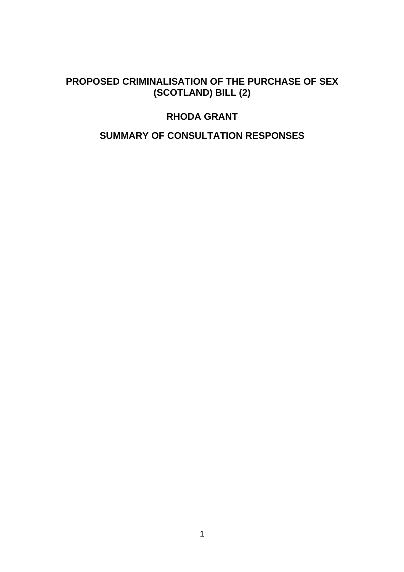# **PROPOSED CRIMINALISATION OF THE PURCHASE OF SEX (SCOTLAND) BILL (2)**

# **RHODA GRANT**

# **SUMMARY OF CONSULTATION RESPONSES**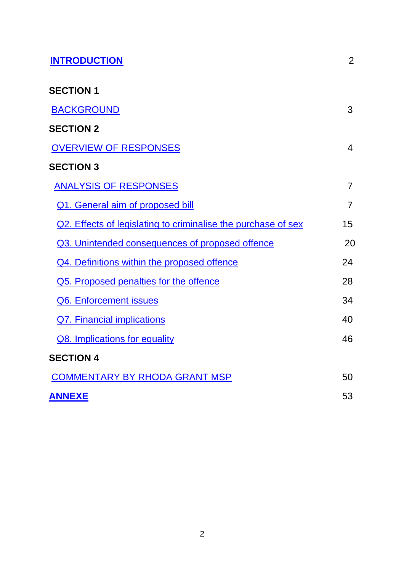| <b>INTRODUCTION</b>                                           | $\overline{2}$ |
|---------------------------------------------------------------|----------------|
| <b>SECTION 1</b>                                              |                |
| <b>BACKGROUND</b>                                             | 3              |
| <b>SECTION 2</b>                                              |                |
| <b>OVERVIEW OF RESPONSES</b>                                  | 4              |
| <b>SECTION 3</b>                                              |                |
| <b>ANALYSIS OF RESPONSES</b>                                  | 7              |
| <b>Q1. General aim of proposed bill</b>                       | 7              |
| Q2. Effects of legislating to criminalise the purchase of sex | 15             |
| Q3. Unintended consequences of proposed offence               | 20             |
| Q4. Definitions within the proposed offence                   | 24             |
| Q5. Proposed penalties for the offence                        | 28             |
| Q6. Enforcement issues                                        | 34             |
| <b>Q7. Financial implications</b>                             | 40             |
| Q8. Implications for equality                                 | 46             |
| <b>SECTION 4</b>                                              |                |
| <b>COMMENTARY BY RHODA GRANT MSP</b>                          | 50             |
| <b>ANNEXE</b>                                                 | 53             |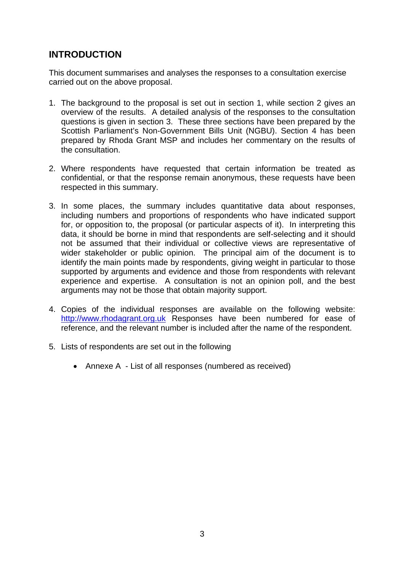# **INTRODUCTION**

This document summarises and analyses the responses to a consultation exercise carried out on the above proposal.

- 1. The background to the proposal is set out in section 1, while section 2 gives an overview of the results. A detailed analysis of the responses to the consultation questions is given in section 3. These three sections have been prepared by the Scottish Parliament's Non-Government Bills Unit (NGBU). Section 4 has been prepared by Rhoda Grant MSP and includes her commentary on the results of the consultation.
- 2. Where respondents have requested that certain information be treated as confidential, or that the response remain anonymous, these requests have been respected in this summary.
- 3. In some places, the summary includes quantitative data about responses, including numbers and proportions of respondents who have indicated support for, or opposition to, the proposal (or particular aspects of it). In interpreting this data, it should be borne in mind that respondents are self-selecting and it should not be assumed that their individual or collective views are representative of wider stakeholder or public opinion. The principal aim of the document is to identify the main points made by respondents, giving weight in particular to those supported by arguments and evidence and those from respondents with relevant experience and expertise. A consultation is not an opinion poll, and the best arguments may not be those that obtain majority support.
- 4. Copies of the individual responses are available on the following website: http://www.rhodagrant.org.uk Responses have been numbered for ease of reference, and the relevant number is included after the name of the respondent.
- 5. Lists of respondents are set out in the following
	- Annexe A List of all responses (numbered as received)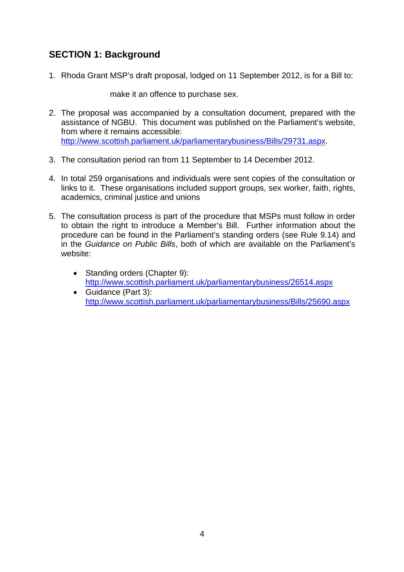# **SECTION 1: Background**

1. Rhoda Grant MSP's draft proposal, lodged on 11 September 2012, is for a Bill to:

make it an offence to purchase sex.

- 2. The proposal was accompanied by a consultation document, prepared with the assistance of NGBU. This document was published on the Parliament's website, from where it remains accessible: http://www.scottish.parliament.uk/parliamentarybusiness/Bills/29731.aspx.
- 3. The consultation period ran from 11 September to 14 December 2012.
- 4. In total 259 organisations and individuals were sent copies of the consultation or links to it. These organisations included support groups, sex worker, faith, rights, academics, criminal justice and unions
- 5. The consultation process is part of the procedure that MSPs must follow in order to obtain the right to introduce a Member's Bill. Further information about the procedure can be found in the Parliament's standing orders (see Rule 9.14) and in the *Guidance on Public Bills*, both of which are available on the Parliament's website:
	- Standing orders (Chapter 9): http://www.scottish.parliament.uk/parliamentarybusiness/26514.aspx
	- Guidance (Part 3): http://www.scottish.parliament.uk/parliamentarybusiness/Bills/25690.aspx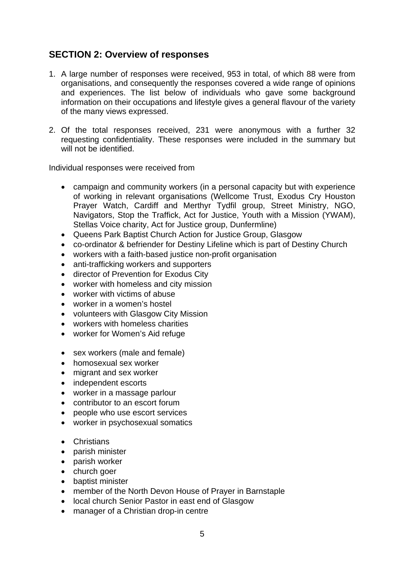# **SECTION 2: Overview of responses**

- 1. A large number of responses were received, 953 in total, of which 88 were from organisations, and consequently the responses covered a wide range of opinions and experiences. The list below of individuals who gave some background information on their occupations and lifestyle gives a general flavour of the variety of the many views expressed.
- 2. Of the total responses received, 231 were anonymous with a further 32 requesting confidentiality. These responses were included in the summary but will not be identified.

Individual responses were received from

- campaign and community workers (in a personal capacity but with experience of working in relevant organisations (Wellcome Trust, Exodus Cry Houston Prayer Watch, Cardiff and Merthyr Tydfil group, Street Ministry, NGO, Navigators, Stop the Traffick, Act for Justice, Youth with a Mission (YWAM), Stellas Voice charity, Act for Justice group, Dunfermline)
- Queens Park Baptist Church Action for Justice Group, Glasgow
- co-ordinator & befriender for Destiny Lifeline which is part of Destiny Church
- workers with a faith-based justice non-profit organisation
- anti-trafficking workers and supporters
- director of Prevention for Exodus City
- worker with homeless and city mission
- worker with victims of abuse
- worker in a women's hostel
- volunteers with Glasgow City Mission
- workers with homeless charities
- worker for Women's Aid refuge
- sex workers (male and female)
- homosexual sex worker
- migrant and sex worker
- independent escorts
- worker in a massage parlour
- contributor to an escort forum
- people who use escort services
- worker in psychosexual somatics
- Christians
- parish minister
- parish worker
- church goer
- baptist minister
- member of the North Devon House of Prayer in Barnstaple
- local church Senior Pastor in east end of Glasgow
- manager of a Christian drop-in centre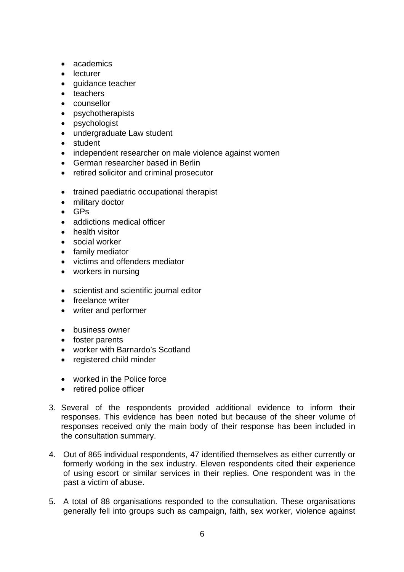- academics
- **•** lecturer
- quidance teacher
- teachers
- counsellor
- psychotherapists
- psychologist
- undergraduate Law student
- student
- independent researcher on male violence against women
- German researcher based in Berlin
- retired solicitor and criminal prosecutor
- trained paediatric occupational therapist
- military doctor
- $-$  GPs
- addictions medical officer
- **•** health visitor
- social worker
- family mediator
- victims and offenders mediator
- workers in nursing
- scientist and scientific journal editor
- freelance writer
- writer and performer
- business owner
- foster parents
- worker with Barnardo's Scotland
- registered child minder
- worked in the Police force
- retired police officer
- 3. Several of the respondents provided additional evidence to inform their responses. This evidence has been noted but because of the sheer volume of responses received only the main body of their response has been included in the consultation summary.
- 4. Out of 865 individual respondents, 47 identified themselves as either currently or formerly working in the sex industry. Eleven respondents cited their experience of using escort or similar services in their replies. One respondent was in the past a victim of abuse.
- 5. A total of 88 organisations responded to the consultation. These organisations generally fell into groups such as campaign, faith, sex worker, violence against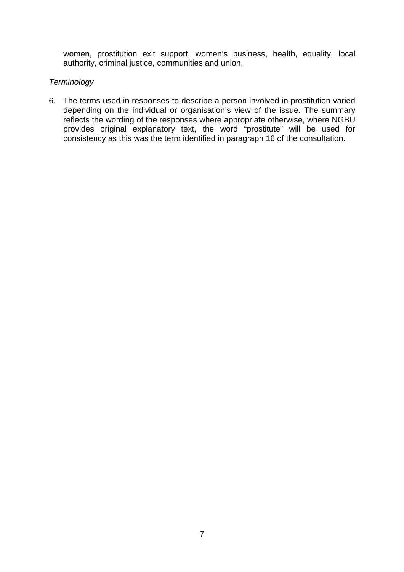women, prostitution exit support, women's business, health, equality, local authority, criminal justice, communities and union.

## *Terminology*

6. The terms used in responses to describe a person involved in prostitution varied depending on the individual or organisation's view of the issue. The summary reflects the wording of the responses where appropriate otherwise, where NGBU provides original explanatory text, the word "prostitute" will be used for consistency as this was the term identified in paragraph 16 of the consultation.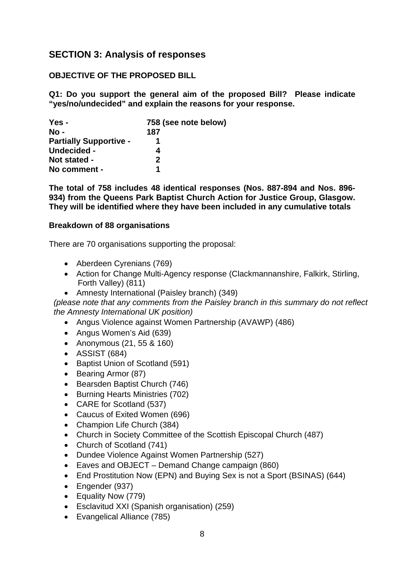# **SECTION 3: Analysis of responses**

# **OBJECTIVE OF THE PROPOSED BILL**

**Q1: Do you support the general aim of the proposed Bill? Please indicate "yes/no/undecided" and explain the reasons for your response.** 

| Yes -                         | 758 (see note below) |
|-------------------------------|----------------------|
| $No -$                        | 187                  |
| <b>Partially Supportive -</b> |                      |
| Undecided -                   |                      |
| Not stated -                  | $\mathbf{p}$         |
| No comment -                  | 1                    |

**The total of 758 includes 48 identical responses (Nos. 887-894 and Nos. 896- 934) from the Queens Park Baptist Church Action for Justice Group, Glasgow. They will be identified where they have been included in any cumulative totals** 

### **Breakdown of 88 organisations**

There are 70 organisations supporting the proposal:

- Aberdeen Cyrenians (769)
- Action for Change Multi-Agency response (Clackmannanshire, Falkirk, Stirling, Forth Valley) (811)
- Amnesty International (Paisley branch) (349)

*(please note that any comments from the Paisley branch in this summary do not reflect the Amnesty International UK position)* 

- Angus Violence against Women Partnership (AVAWP) (486)
- Angus Women's Aid (639)
- Anonymous (21, 55 & 160)
- ASSIST (684)
- Baptist Union of Scotland (591)
- Bearing Armor (87)
- Bearsden Baptist Church (746)
- Burning Hearts Ministries (702)
- CARE for Scotland (537)
- Caucus of Exited Women (696)
- Champion Life Church (384)
- Church in Society Committee of the Scottish Episcopal Church (487)
- Church of Scotland (741)
- Dundee Violence Against Women Partnership (527)
- Eaves and OBJECT Demand Change campaign (860)
- End Prostitution Now (EPN) and Buying Sex is not a Sport (BSINAS) (644)
- Engender (937)
- Equality Now (779)
- Esclavitud XXI (Spanish organisation) (259)
- Evangelical Alliance (785)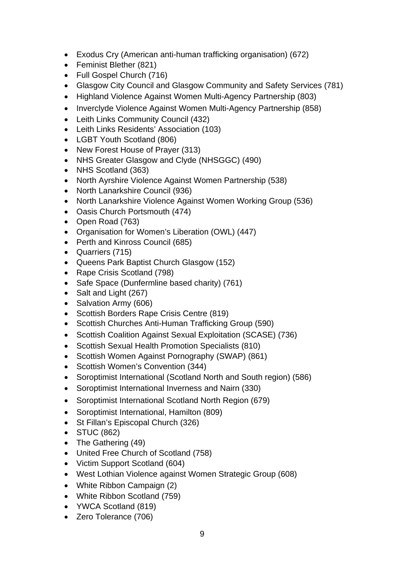- Exodus Cry (American anti-human trafficking organisation) (672)
- Feminist Blether (821)
- Full Gospel Church (716)
- Glasgow City Council and Glasgow Community and Safety Services (781)
- Highland Violence Against Women Multi-Agency Partnership (803)
- Inverclyde Violence Against Women Multi-Agency Partnership (858)
- Leith Links Community Council (432)
- Leith Links Residents' Association (103)
- LGBT Youth Scotland (806)
- New Forest House of Prayer (313)
- NHS Greater Glasgow and Clyde (NHSGGC) (490)
- NHS Scotland (363)
- North Ayrshire Violence Against Women Partnership (538)
- North Lanarkshire Council (936)
- North Lanarkshire Violence Against Women Working Group (536)
- Oasis Church Portsmouth (474)
- Open Road (763)
- Organisation for Women's Liberation (OWL) (447)
- Perth and Kinross Council (685)
- Quarriers (715)
- Queens Park Baptist Church Glasgow (152)
- Rape Crisis Scotland (798)
- Safe Space (Dunfermline based charity) (761)
- Salt and Light (267)
- Salvation Army (606)
- Scottish Borders Rape Crisis Centre (819)
- Scottish Churches Anti-Human Trafficking Group (590)
- Scottish Coalition Against Sexual Exploitation (SCASE) (736)
- Scottish Sexual Health Promotion Specialists (810)
- Scottish Women Against Pornography (SWAP) (861)
- Scottish Women's Convention (344)
- Soroptimist International (Scotland North and South region) (586)
- Soroptimist International Inverness and Nairn (330)
- Soroptimist International Scotland North Region (679)
- Soroptimist International, Hamilton (809)
- St Fillan's Episcopal Church (326)
- STUC (862)
- The Gathering (49)
- United Free Church of Scotland (758)
- Victim Support Scotland (604)
- West Lothian Violence against Women Strategic Group (608)
- White Ribbon Campaign (2)
- White Ribbon Scotland (759)
- YWCA Scotland (819)
- Zero Tolerance (706)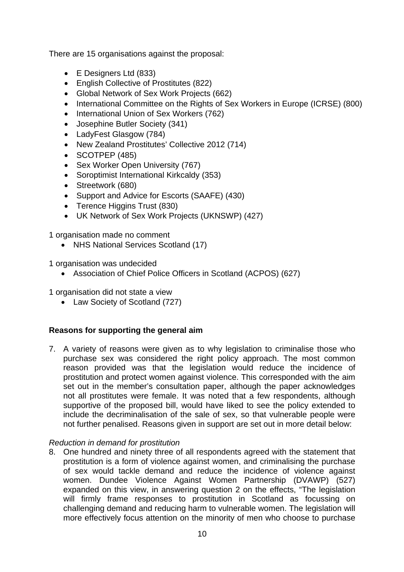There are 15 organisations against the proposal:

- E Designers Ltd (833)
- English Collective of Prostitutes (822)
- Global Network of Sex Work Projects (662)
- International Committee on the Rights of Sex Workers in Europe (ICRSE) (800)
- International Union of Sex Workers (762)
- Josephine Butler Society (341)
- LadyFest Glasgow (784)
- New Zealand Prostitutes' Collective 2012 (714)
- $\bullet$  SCOTPEP (485)
- Sex Worker Open University (767)
- Soroptimist International Kirkcaldy (353)
- Streetwork (680)
- Support and Advice for Escorts (SAAFE) (430)
- Terence Higgins Trust (830)
- UK Network of Sex Work Projects (UKNSWP) (427)

1 organisation made no comment

• NHS National Services Scotland (17)

1 organisation was undecided

Association of Chief Police Officers in Scotland (ACPOS) (627)

1 organisation did not state a view

• Law Society of Scotland (727)

# **Reasons for supporting the general aim**

7. A variety of reasons were given as to why legislation to criminalise those who purchase sex was considered the right policy approach. The most common reason provided was that the legislation would reduce the incidence of prostitution and protect women against violence. This corresponded with the aim set out in the member's consultation paper, although the paper acknowledges not all prostitutes were female. It was noted that a few respondents, although supportive of the proposed bill, would have liked to see the policy extended to include the decriminalisation of the sale of sex, so that vulnerable people were not further penalised. Reasons given in support are set out in more detail below:

# *Reduction in demand for prostitution*

8. One hundred and ninety three of all respondents agreed with the statement that prostitution is a form of violence against women, and criminalising the purchase of sex would tackle demand and reduce the incidence of violence against women. Dundee Violence Against Women Partnership (DVAWP) (527) expanded on this view, in answering question 2 on the effects, "The legislation will firmly frame responses to prostitution in Scotland as focussing on challenging demand and reducing harm to vulnerable women. The legislation will more effectively focus attention on the minority of men who choose to purchase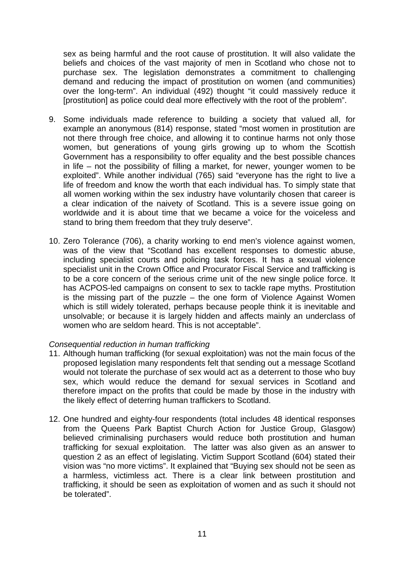sex as being harmful and the root cause of prostitution. It will also validate the beliefs and choices of the vast majority of men in Scotland who chose not to purchase sex. The legislation demonstrates a commitment to challenging demand and reducing the impact of prostitution on women (and communities) over the long-term". An individual (492) thought "it could massively reduce it [prostitution] as police could deal more effectively with the root of the problem".

- 9. Some individuals made reference to building a society that valued all, for example an anonymous (814) response, stated "most women in prostitution are not there through free choice, and allowing it to continue harms not only those women, but generations of young girls growing up to whom the Scottish Government has a responsibility to offer equality and the best possible chances in life – not the possibility of filling a market, for newer, younger women to be exploited". While another individual (765) said "everyone has the right to live a life of freedom and know the worth that each individual has. To simply state that all women working within the sex industry have voluntarily chosen that career is a clear indication of the naivety of Scotland. This is a severe issue going on worldwide and it is about time that we became a voice for the voiceless and stand to bring them freedom that they truly deserve".
- 10. Zero Tolerance (706), a charity working to end men's violence against women, was of the view that "Scotland has excellent responses to domestic abuse, including specialist courts and policing task forces. It has a sexual violence specialist unit in the Crown Office and Procurator Fiscal Service and trafficking is to be a core concern of the serious crime unit of the new single police force. It has ACPOS-led campaigns on consent to sex to tackle rape myths. Prostitution is the missing part of the puzzle – the one form of Violence Against Women which is still widely tolerated, perhaps because people think it is inevitable and unsolvable; or because it is largely hidden and affects mainly an underclass of women who are seldom heard. This is not acceptable".

## *Consequential reduction in human trafficking*

- 11. Although human trafficking (for sexual exploitation) was not the main focus of the proposed legislation many respondents felt that sending out a message Scotland would not tolerate the purchase of sex would act as a deterrent to those who buy sex, which would reduce the demand for sexual services in Scotland and therefore impact on the profits that could be made by those in the industry with the likely effect of deterring human traffickers to Scotland.
- 12. One hundred and eighty-four respondents (total includes 48 identical responses from the Queens Park Baptist Church Action for Justice Group, Glasgow) believed criminalising purchasers would reduce both prostitution and human trafficking for sexual exploitation. The latter was also given as an answer to question 2 as an effect of legislating. Victim Support Scotland (604) stated their vision was "no more victims". It explained that "Buying sex should not be seen as a harmless, victimless act. There is a clear link between prostitution and trafficking, it should be seen as exploitation of women and as such it should not be tolerated".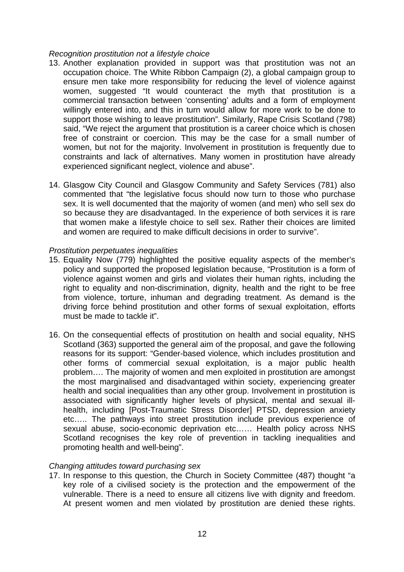#### *Recognition prostitution not a lifestyle choice*

- 13. Another explanation provided in support was that prostitution was not an occupation choice. The White Ribbon Campaign (2), a global campaign group to ensure men take more responsibility for reducing the level of violence against women, suggested "It would counteract the myth that prostitution is a commercial transaction between 'consenting' adults and a form of employment willingly entered into, and this in turn would allow for more work to be done to support those wishing to leave prostitution". Similarly, Rape Crisis Scotland (798) said, "We reject the argument that prostitution is a career choice which is chosen free of constraint or coercion. This may be the case for a small number of women, but not for the majority. Involvement in prostitution is frequently due to constraints and lack of alternatives. Many women in prostitution have already experienced significant neglect, violence and abuse".
- 14. Glasgow City Council and Glasgow Community and Safety Services (781) also commented that "the legislative focus should now turn to those who purchase sex. It is well documented that the majority of women (and men) who sell sex do so because they are disadvantaged. In the experience of both services it is rare that women make a lifestyle choice to sell sex. Rather their choices are limited and women are required to make difficult decisions in order to survive".

### *Prostitution perpetuates inequalities*

- 15. Equality Now (779) highlighted the positive equality aspects of the member's policy and supported the proposed legislation because, "Prostitution is a form of violence against women and girls and violates their human rights, including the right to equality and non-discrimination, dignity, health and the right to be free from violence, torture, inhuman and degrading treatment. As demand is the driving force behind prostitution and other forms of sexual exploitation, efforts must be made to tackle it".
- 16. On the consequential effects of prostitution on health and social equality, NHS Scotland (363) supported the general aim of the proposal, and gave the following reasons for its support: "Gender-based violence, which includes prostitution and other forms of commercial sexual exploitation, is a major public health problem…. The majority of women and men exploited in prostitution are amongst the most marginalised and disadvantaged within society, experiencing greater health and social inequalities than any other group. Involvement in prostitution is associated with significantly higher levels of physical, mental and sexual illhealth, including [Post-Traumatic Stress Disorder] PTSD, depression anxiety etc….. The pathways into street prostitution include previous experience of sexual abuse, socio-economic deprivation etc…… Health policy across NHS Scotland recognises the key role of prevention in tackling inequalities and promoting health and well-being".

## *Changing attitudes toward purchasing sex*

17. In response to this question, the Church in Society Committee (487) thought "a key role of a civilised society is the protection and the empowerment of the vulnerable. There is a need to ensure all citizens live with dignity and freedom. At present women and men violated by prostitution are denied these rights.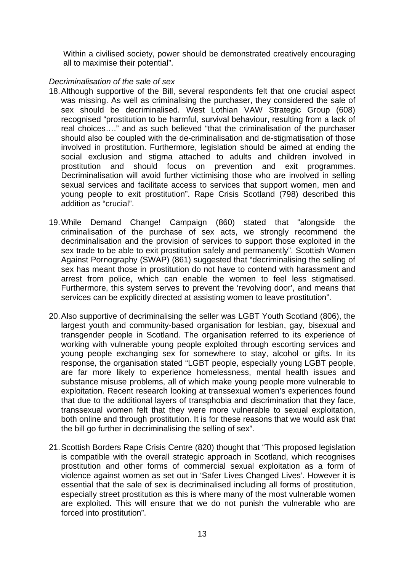Within a civilised society, power should be demonstrated creatively encouraging all to maximise their potential".

## *Decriminalisation of the sale of sex*

- 18. Although supportive of the Bill, several respondents felt that one crucial aspect was missing. As well as criminalising the purchaser, they considered the sale of sex should be decriminalised. West Lothian VAW Strategic Group (608) recognised "prostitution to be harmful, survival behaviour, resulting from a lack of real choices…." and as such believed "that the criminalisation of the purchaser should also be coupled with the de-criminalisation and de-stigmatisation of those involved in prostitution. Furthermore, legislation should be aimed at ending the social exclusion and stigma attached to adults and children involved in prostitution and should focus on prevention and exit programmes. Decriminalisation will avoid further victimising those who are involved in selling sexual services and facilitate access to services that support women, men and young people to exit prostitution". Rape Crisis Scotland (798) described this addition as "crucial".
- 19. While Demand Change! Campaign (860) stated that "alongside the criminalisation of the purchase of sex acts, we strongly recommend the decriminalisation and the provision of services to support those exploited in the sex trade to be able to exit prostitution safely and permanently". Scottish Women Against Pornography (SWAP) (861) suggested that "decriminalising the selling of sex has meant those in prostitution do not have to contend with harassment and arrest from police, which can enable the women to feel less stigmatised. Furthermore, this system serves to prevent the 'revolving door', and means that services can be explicitly directed at assisting women to leave prostitution".
- 20. Also supportive of decriminalising the seller was LGBT Youth Scotland (806), the largest youth and community-based organisation for lesbian, gay, bisexual and transgender people in Scotland. The organisation referred to its experience of working with vulnerable young people exploited through escorting services and young people exchanging sex for somewhere to stay, alcohol or gifts. In its response, the organisation stated "LGBT people, especially young LGBT people, are far more likely to experience homelessness, mental health issues and substance misuse problems, all of which make young people more vulnerable to exploitation. Recent research looking at transsexual women's experiences found that due to the additional layers of transphobia and discrimination that they face, transsexual women felt that they were more vulnerable to sexual exploitation, both online and through prostitution. It is for these reasons that we would ask that the bill go further in decriminalising the selling of sex".
- 21. Scottish Borders Rape Crisis Centre (820) thought that "This proposed legislation is compatible with the overall strategic approach in Scotland, which recognises prostitution and other forms of commercial sexual exploitation as a form of violence against women as set out in 'Safer Lives Changed Lives'. However it is essential that the sale of sex is decriminalised including all forms of prostitution, especially street prostitution as this is where many of the most vulnerable women are exploited. This will ensure that we do not punish the vulnerable who are forced into prostitution".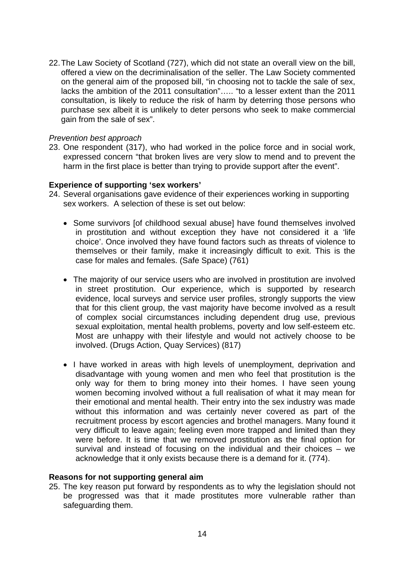22. The Law Society of Scotland (727), which did not state an overall view on the bill, offered a view on the decriminalisation of the seller. The Law Society commented on the general aim of the proposed bill, "in choosing not to tackle the sale of sex, lacks the ambition of the 2011 consultation"….. "to a lesser extent than the 2011 consultation, is likely to reduce the risk of harm by deterring those persons who purchase sex albeit it is unlikely to deter persons who seek to make commercial gain from the sale of sex".

### *Prevention best approach*

23. One respondent (317), who had worked in the police force and in social work, expressed concern "that broken lives are very slow to mend and to prevent the harm in the first place is better than trying to provide support after the event".

### **Experience of supporting 'sex workers'**

- 24. Several organisations gave evidence of their experiences working in supporting sex workers. A selection of these is set out below:
	- Some survivors [of childhood sexual abuse] have found themselves involved in prostitution and without exception they have not considered it a 'life choice'. Once involved they have found factors such as threats of violence to themselves or their family, make it increasingly difficult to exit. This is the case for males and females. (Safe Space) (761)
	- The majority of our service users who are involved in prostitution are involved in street prostitution. Our experience, which is supported by research evidence, local surveys and service user profiles, strongly supports the view that for this client group, the vast majority have become involved as a result of complex social circumstances including dependent drug use, previous sexual exploitation, mental health problems, poverty and low self-esteem etc. Most are unhappy with their lifestyle and would not actively choose to be involved. (Drugs Action, Quay Services) (817)
	- I have worked in areas with high levels of unemployment, deprivation and disadvantage with young women and men who feel that prostitution is the only way for them to bring money into their homes. I have seen young women becoming involved without a full realisation of what it may mean for their emotional and mental health. Their entry into the sex industry was made without this information and was certainly never covered as part of the recruitment process by escort agencies and brothel managers. Many found it very difficult to leave again; feeling even more trapped and limited than they were before. It is time that we removed prostitution as the final option for survival and instead of focusing on the individual and their choices – we acknowledge that it only exists because there is a demand for it. (774).

#### **Reasons for not supporting general aim**

25. The key reason put forward by respondents as to why the legislation should not be progressed was that it made prostitutes more vulnerable rather than safeguarding them.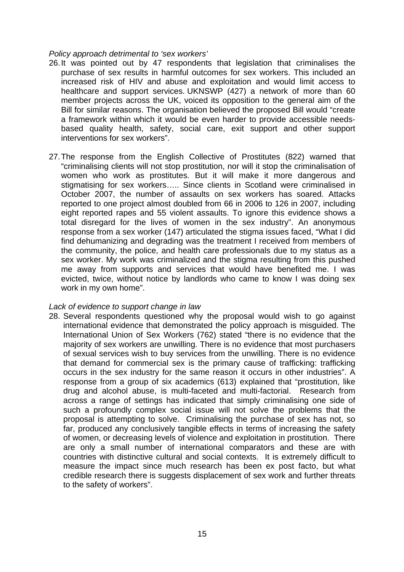#### *Policy approach detrimental to 'sex workers'*

- 26. It was pointed out by 47 respondents that legislation that criminalises the purchase of sex results in harmful outcomes for sex workers. This included an increased risk of HIV and abuse and exploitation and would limit access to healthcare and support services. UKNSWP (427) a network of more than 60 member projects across the UK, voiced its opposition to the general aim of the Bill for similar reasons. The organisation believed the proposed Bill would "create a framework within which it would be even harder to provide accessible needsbased quality health, safety, social care, exit support and other support interventions for sex workers".
- 27. The response from the English Collective of Prostitutes (822) warned that "criminalising clients will not stop prostitution, nor will it stop the criminalisation of women who work as prostitutes. But it will make it more dangerous and stigmatising for sex workers….. Since clients in Scotland were criminalised in October 2007, the number of assaults on sex workers has soared. Attacks reported to one project almost doubled from 66 in 2006 to 126 in 2007, including eight reported rapes and 55 violent assaults. To ignore this evidence shows a total disregard for the lives of women in the sex industry". An anonymous response from a sex worker (147) articulated the stigma issues faced, "What I did find dehumanizing and degrading was the treatment I received from members of the community, the police, and health care professionals due to my status as a sex worker. My work was criminalized and the stigma resulting from this pushed me away from supports and services that would have benefited me. I was evicted, twice, without notice by landlords who came to know I was doing sex work in my own home".

#### *Lack of evidence to support change in law*

28. Several respondents questioned why the proposal would wish to go against international evidence that demonstrated the policy approach is misguided. The International Union of Sex Workers (762) stated "there is no evidence that the majority of sex workers are unwilling. There is no evidence that most purchasers of sexual services wish to buy services from the unwilling. There is no evidence that demand for commercial sex is the primary cause of trafficking: trafficking occurs in the sex industry for the same reason it occurs in other industries". A response from a group of six academics (613) explained that "prostitution, like drug and alcohol abuse, is multi-faceted and multi-factorial. Research from across a range of settings has indicated that simply criminalising one side of such a profoundly complex social issue will not solve the problems that the proposal is attempting to solve. Criminalising the purchase of sex has not, so far, produced any conclusively tangible effects in terms of increasing the safety of women, or decreasing levels of violence and exploitation in prostitution. There are only a small number of international comparators and these are with countries with distinctive cultural and social contexts. It is extremely difficult to measure the impact since much research has been ex post facto, but what credible research there is suggests displacement of sex work and further threats to the safety of workers".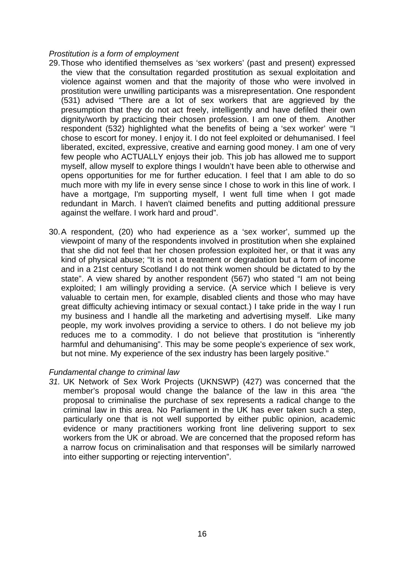## *Prostitution is a form of employment*

- 29. Those who identified themselves as 'sex workers' (past and present) expressed the view that the consultation regarded prostitution as sexual exploitation and violence against women and that the majority of those who were involved in prostitution were unwilling participants was a misrepresentation. One respondent (531) advised "There are a lot of sex workers that are aggrieved by the presumption that they do not act freely, intelligently and have defiled their own dignity/worth by practicing their chosen profession. I am one of them. Another respondent (532) highlighted what the benefits of being a 'sex worker' were "I chose to escort for money. I enjoy it. I do not feel exploited or dehumanised. I feel liberated, excited, expressive, creative and earning good money. I am one of very few people who ACTUALLY enjoys their job. This job has allowed me to support myself, allow myself to explore things I wouldn't have been able to otherwise and opens opportunities for me for further education. I feel that I am able to do so much more with my life in every sense since I chose to work in this line of work. I have a mortgage, I'm supporting myself, I went full time when I got made redundant in March. I haven't claimed benefits and putting additional pressure against the welfare. I work hard and proud".
- 30. A respondent, (20) who had experience as a 'sex worker', summed up the viewpoint of many of the respondents involved in prostitution when she explained that she did not feel that her chosen profession exploited her, or that it was any kind of physical abuse; "It is not a treatment or degradation but a form of income and in a 21st century Scotland I do not think women should be dictated to by the state". A view shared by another respondent (567) who stated "I am not being exploited; I am willingly providing a service. (A service which I believe is very valuable to certain men, for example, disabled clients and those who may have great difficulty achieving intimacy or sexual contact.) I take pride in the way I run my business and I handle all the marketing and advertising myself. Like many people, my work involves providing a service to others. I do not believe my job reduces me to a commodity. I do not believe that prostitution is "inherently harmful and dehumanising". This may be some people's experience of sex work, but not mine. My experience of the sex industry has been largely positive."

## *Fundamental change to criminal law*

*31.* UK Network of Sex Work Projects (UKNSWP) (427) was concerned that the member's proposal would change the balance of the law in this area "the proposal to criminalise the purchase of sex represents a radical change to the criminal law in this area. No Parliament in the UK has ever taken such a step, particularly one that is not well supported by either public opinion, academic evidence or many practitioners working front line delivering support to sex workers from the UK or abroad. We are concerned that the proposed reform has a narrow focus on criminalisation and that responses will be similarly narrowed into either supporting or rejecting intervention".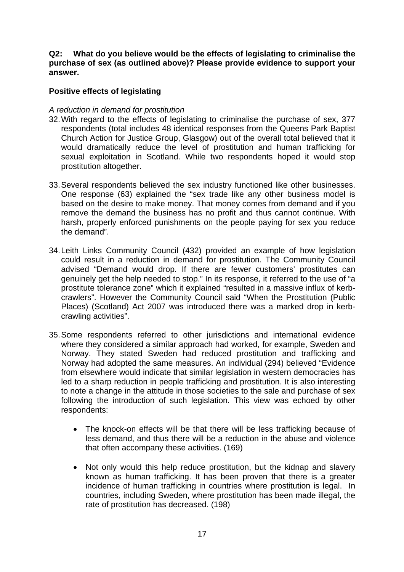## **Q2: What do you believe would be the effects of legislating to criminalise the purchase of sex (as outlined above)? Please provide evidence to support your answer.**

## **Positive effects of legislating**

## *A reduction in demand for prostitution*

- 32. With regard to the effects of legislating to criminalise the purchase of sex, 377 respondents (total includes 48 identical responses from the Queens Park Baptist Church Action for Justice Group, Glasgow) out of the overall total believed that it would dramatically reduce the level of prostitution and human trafficking for sexual exploitation in Scotland. While two respondents hoped it would stop prostitution altogether.
- 33. Several respondents believed the sex industry functioned like other businesses. One response (63) explained the "sex trade like any other business model is based on the desire to make money. That money comes from demand and if you remove the demand the business has no profit and thus cannot continue. With harsh, properly enforced punishments on the people paying for sex you reduce the demand".
- 34. Leith Links Community Council (432) provided an example of how legislation could result in a reduction in demand for prostitution. The Community Council advised "Demand would drop. If there are fewer customers' prostitutes can genuinely get the help needed to stop." In its response, it referred to the use of "a prostitute tolerance zone" which it explained "resulted in a massive influx of kerbcrawlers". However the Community Council said "When the Prostitution (Public Places) (Scotland) Act 2007 was introduced there was a marked drop in kerbcrawling activities".
- 35. Some respondents referred to other jurisdictions and international evidence where they considered a similar approach had worked, for example, Sweden and Norway. They stated Sweden had reduced prostitution and trafficking and Norway had adopted the same measures. An individual (294) believed "Evidence from elsewhere would indicate that similar legislation in western democracies has led to a sharp reduction in people trafficking and prostitution. It is also interesting to note a change in the attitude in those societies to the sale and purchase of sex following the introduction of such legislation. This view was echoed by other respondents:
	- The knock-on effects will be that there will be less trafficking because of less demand, and thus there will be a reduction in the abuse and violence that often accompany these activities. (169)
	- Not only would this help reduce prostitution, but the kidnap and slavery known as human trafficking. It has been proven that there is a greater incidence of human trafficking in countries where prostitution is legal. In countries, including Sweden, where prostitution has been made illegal, the rate of prostitution has decreased. (198)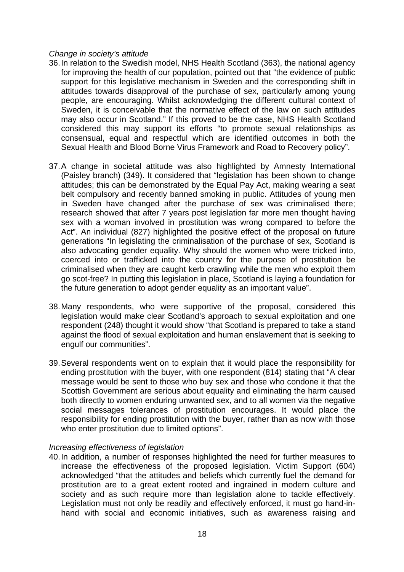#### *Change in society's attitude*

- 36. In relation to the Swedish model, NHS Health Scotland (363), the national agency for improving the health of our population, pointed out that "the evidence of public support for this legislative mechanism in Sweden and the corresponding shift in attitudes towards disapproval of the purchase of sex, particularly among young people, are encouraging. Whilst acknowledging the different cultural context of Sweden, it is conceivable that the normative effect of the law on such attitudes may also occur in Scotland." If this proved to be the case, NHS Health Scotland considered this may support its efforts "to promote sexual relationships as consensual, equal and respectful which are identified outcomes in both the Sexual Health and Blood Borne Virus Framework and Road to Recovery policy".
- 37. A change in societal attitude was also highlighted by Amnesty International (Paisley branch) (349). It considered that "legislation has been shown to change attitudes; this can be demonstrated by the Equal Pay Act, making wearing a seat belt compulsory and recently banned smoking in public. Attitudes of young men in Sweden have changed after the purchase of sex was criminalised there; research showed that after 7 years post legislation far more men thought having sex with a woman involved in prostitution was wrong compared to before the Act". An individual (827) highlighted the positive effect of the proposal on future generations "In legislating the criminalisation of the purchase of sex, Scotland is also advocating gender equality. Why should the women who were tricked into, coerced into or trafficked into the country for the purpose of prostitution be criminalised when they are caught kerb crawling while the men who exploit them go scot-free? In putting this legislation in place, Scotland is laying a foundation for the future generation to adopt gender equality as an important value".
- 38. Many respondents, who were supportive of the proposal, considered this legislation would make clear Scotland's approach to sexual exploitation and one respondent (248) thought it would show "that Scotland is prepared to take a stand against the flood of sexual exploitation and human enslavement that is seeking to engulf our communities".
- 39. Several respondents went on to explain that it would place the responsibility for ending prostitution with the buyer, with one respondent (814) stating that "A clear message would be sent to those who buy sex and those who condone it that the Scottish Government are serious about equality and eliminating the harm caused both directly to women enduring unwanted sex, and to all women via the negative social messages tolerances of prostitution encourages. It would place the responsibility for ending prostitution with the buyer, rather than as now with those who enter prostitution due to limited options".

## *Increasing effectiveness of legislation*

40. In addition, a number of responses highlighted the need for further measures to increase the effectiveness of the proposed legislation. Victim Support (604) acknowledged "that the attitudes and beliefs which currently fuel the demand for prostitution are to a great extent rooted and ingrained in modern culture and society and as such require more than legislation alone to tackle effectively. Legislation must not only be readily and effectively enforced, it must go hand-inhand with social and economic initiatives, such as awareness raising and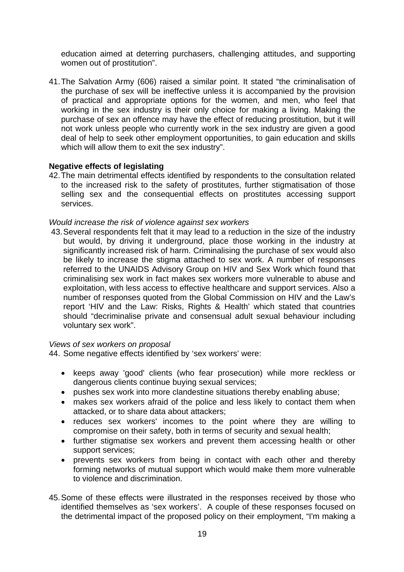education aimed at deterring purchasers, challenging attitudes, and supporting women out of prostitution".

41. The Salvation Army (606) raised a similar point. It stated "the criminalisation of the purchase of sex will be ineffective unless it is accompanied by the provision of practical and appropriate options for the women, and men, who feel that working in the sex industry is their only choice for making a living. Making the purchase of sex an offence may have the effect of reducing prostitution, but it will not work unless people who currently work in the sex industry are given a good deal of help to seek other employment opportunities, to gain education and skills which will allow them to exit the sex industry".

### **Negative effects of legislating**

42. The main detrimental effects identified by respondents to the consultation related to the increased risk to the safety of prostitutes, further stigmatisation of those selling sex and the consequential effects on prostitutes accessing support services.

### *Would increase the risk of violence against sex workers*

43. Several respondents felt that it may lead to a reduction in the size of the industry but would, by driving it underground, place those working in the industry at significantly increased risk of harm. Criminalising the purchase of sex would also be likely to increase the stigma attached to sex work. A number of responses referred to the UNAIDS Advisory Group on HIV and Sex Work which found that criminalising sex work in fact makes sex workers more vulnerable to abuse and exploitation, with less access to effective healthcare and support services. Also a number of responses quoted from the Global Commission on HIV and the Law's report 'HIV and the Law: Risks, Rights & Health' which stated that countries should "decriminalise private and consensual adult sexual behaviour including voluntary sex work".

#### *Views of sex workers on proposal*

44. Some negative effects identified by 'sex workers' were:

- keeps away 'good' clients (who fear prosecution) while more reckless or dangerous clients continue buying sexual services;
- pushes sex work into more clandestine situations thereby enabling abuse;
- makes sex workers afraid of the police and less likely to contact them when attacked, or to share data about attackers;
- reduces sex workers' incomes to the point where they are willing to compromise on their safety, both in terms of security and sexual health;
- further stigmatise sex workers and prevent them accessing health or other support services;
- prevents sex workers from being in contact with each other and thereby forming networks of mutual support which would make them more vulnerable to violence and discrimination.
- 45. Some of these effects were illustrated in the responses received by those who identified themselves as 'sex workers'. A couple of these responses focused on the detrimental impact of the proposed policy on their employment, "I'm making a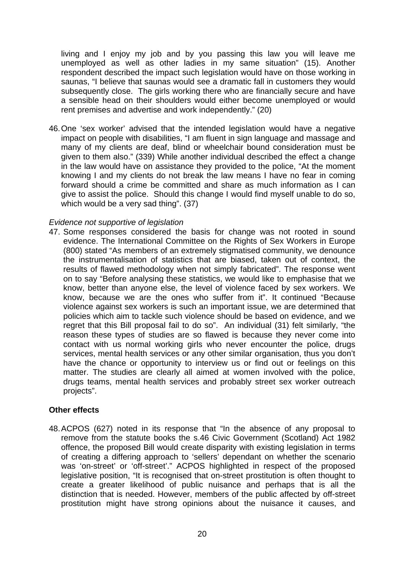living and I enjoy my job and by you passing this law you will leave me unemployed as well as other ladies in my same situation" (15). Another respondent described the impact such legislation would have on those working in saunas, "I believe that saunas would see a dramatic fall in customers they would subsequently close. The girls working there who are financially secure and have a sensible head on their shoulders would either become unemployed or would rent premises and advertise and work independently." (20)

46. One 'sex worker' advised that the intended legislation would have a negative impact on people with disabilities, "I am fluent in sign language and massage and many of my clients are deaf, blind or wheelchair bound consideration must be given to them also." (339) While another individual described the effect a change in the law would have on assistance they provided to the police, "At the moment knowing I and my clients do not break the law means I have no fear in coming forward should a crime be committed and share as much information as I can give to assist the police. Should this change I would find myself unable to do so, which would be a very sad thing". (37)

## *Evidence not supportive of legislation*

47. Some responses considered the basis for change was not rooted in sound evidence. The International Committee on the Rights of Sex Workers in Europe (800) stated "As members of an extremely stigmatised community, we denounce the instrumentalisation of statistics that are biased, taken out of context, the results of flawed methodology when not simply fabricated". The response went on to say "Before analysing these statistics, we would like to emphasise that we know, better than anyone else, the level of violence faced by sex workers. We know, because we are the ones who suffer from it". It continued "Because violence against sex workers is such an important issue, we are determined that policies which aim to tackle such violence should be based on evidence, and we regret that this Bill proposal fail to do so". An individual (31) felt similarly, "the reason these types of studies are so flawed is because they never come into contact with us normal working girls who never encounter the police, drugs services, mental health services or any other similar organisation, thus you don't have the chance or opportunity to interview us or find out or feelings on this matter. The studies are clearly all aimed at women involved with the police, drugs teams, mental health services and probably street sex worker outreach projects".

## **Other effects**

48. ACPOS (627) noted in its response that "In the absence of any proposal to remove from the statute books the s.46 Civic Government (Scotland) Act 1982 offence, the proposed Bill would create disparity with existing legislation in terms of creating a differing approach to 'sellers' dependant on whether the scenario was 'on-street' or 'off-street'." ACPOS highlighted in respect of the proposed legislative position, "It is recognised that on-street prostitution is often thought to create a greater likelihood of public nuisance and perhaps that is all the distinction that is needed. However, members of the public affected by off-street prostitution might have strong opinions about the nuisance it causes, and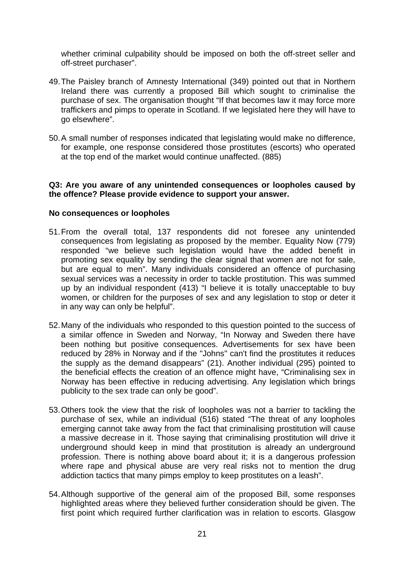whether criminal culpability should be imposed on both the off-street seller and off-street purchaser".

- 49. The Paisley branch of Amnesty International (349) pointed out that in Northern Ireland there was currently a proposed Bill which sought to criminalise the purchase of sex. The organisation thought "If that becomes law it may force more traffickers and pimps to operate in Scotland. If we legislated here they will have to go elsewhere".
- 50. A small number of responses indicated that legislating would make no difference, for example, one response considered those prostitutes (escorts) who operated at the top end of the market would continue unaffected. (885)

## **Q3: Are you aware of any unintended consequences or loopholes caused by the offence? Please provide evidence to support your answer.**

### **No consequences or loopholes**

- 51. From the overall total, 137 respondents did not foresee any unintended consequences from legislating as proposed by the member. Equality Now (779) responded "we believe such legislation would have the added benefit in promoting sex equality by sending the clear signal that women are not for sale, but are equal to men". Many individuals considered an offence of purchasing sexual services was a necessity in order to tackle prostitution. This was summed up by an individual respondent (413) "I believe it is totally unacceptable to buy women, or children for the purposes of sex and any legislation to stop or deter it in any way can only be helpful".
- 52. Many of the individuals who responded to this question pointed to the success of a similar offence in Sweden and Norway, "In Norway and Sweden there have been nothing but positive consequences. Advertisements for sex have been reduced by 28% in Norway and if the "Johns" can't find the prostitutes it reduces the supply as the demand disappears" (21). Another individual (295) pointed to the beneficial effects the creation of an offence might have, "Criminalising sex in Norway has been effective in reducing advertising. Any legislation which brings publicity to the sex trade can only be good".
- 53. Others took the view that the risk of loopholes was not a barrier to tackling the purchase of sex, while an individual (516) stated "The threat of any loopholes emerging cannot take away from the fact that criminalising prostitution will cause a massive decrease in it. Those saying that criminalising prostitution will drive it underground should keep in mind that prostitution is already an underground profession. There is nothing above board about it; it is a dangerous profession where rape and physical abuse are very real risks not to mention the drug addiction tactics that many pimps employ to keep prostitutes on a leash".
- 54. Although supportive of the general aim of the proposed Bill, some responses highlighted areas where they believed further consideration should be given. The first point which required further clarification was in relation to escorts. Glasgow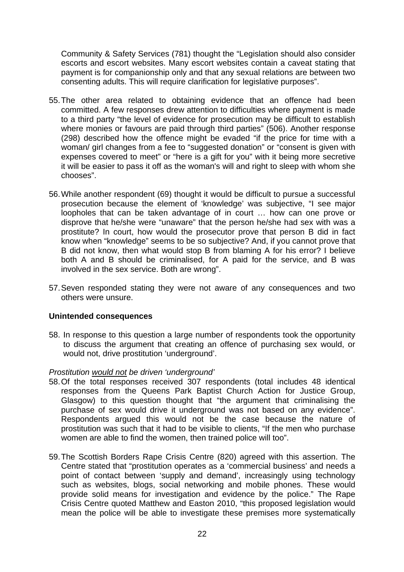Community & Safety Services (781) thought the "Legislation should also consider escorts and escort websites. Many escort websites contain a caveat stating that payment is for companionship only and that any sexual relations are between two consenting adults. This will require clarification for legislative purposes".

- 55. The other area related to obtaining evidence that an offence had been committed. A few responses drew attention to difficulties where payment is made to a third party "the level of evidence for prosecution may be difficult to establish where monies or favours are paid through third parties" (506). Another response (298) described how the offence might be evaded "if the price for time with a woman/ girl changes from a fee to "suggested donation" or "consent is given with expenses covered to meet" or "here is a gift for you" with it being more secretive it will be easier to pass it off as the woman's will and right to sleep with whom she chooses".
- 56. While another respondent (69) thought it would be difficult to pursue a successful prosecution because the element of 'knowledge' was subjective, "I see major loopholes that can be taken advantage of in court … how can one prove or disprove that he/she were "unaware" that the person he/she had sex with was a prostitute? In court, how would the prosecutor prove that person B did in fact know when "knowledge" seems to be so subjective? And, if you cannot prove that B did not know, then what would stop B from blaming A for his error? I believe both A and B should be criminalised, for A paid for the service, and B was involved in the sex service. Both are wrong".
- 57. Seven responded stating they were not aware of any consequences and two others were unsure.

## **Unintended consequences**

58. In response to this question a large number of respondents took the opportunity to discuss the argument that creating an offence of purchasing sex would, or would not, drive prostitution 'underground'.

## *Prostitution would not be driven 'underground'*

- 58. Of the total responses received 307 respondents (total includes 48 identical responses from the Queens Park Baptist Church Action for Justice Group, Glasgow) to this question thought that "the argument that criminalising the purchase of sex would drive it underground was not based on any evidence". Respondents argued this would not be the case because the nature of prostitution was such that it had to be visible to clients, "If the men who purchase women are able to find the women, then trained police will too".
- 59. The Scottish Borders Rape Crisis Centre (820) agreed with this assertion. The Centre stated that "prostitution operates as a 'commercial business' and needs a point of contact between 'supply and demand', increasingly using technology such as websites, blogs, social networking and mobile phones. These would provide solid means for investigation and evidence by the police." The Rape Crisis Centre quoted Matthew and Easton 2010, "this proposed legislation would mean the police will be able to investigate these premises more systematically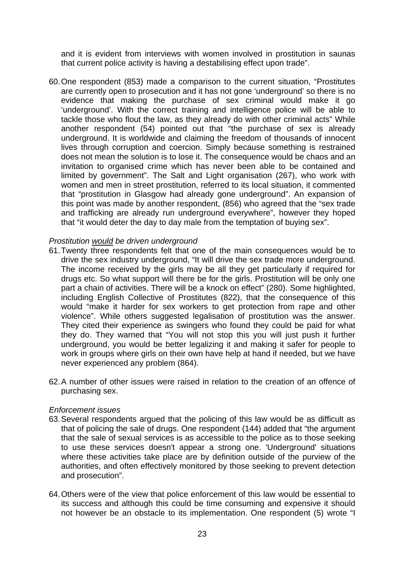and it is evident from interviews with women involved in prostitution in saunas that current police activity is having a destabilising effect upon trade".

60. One respondent (853) made a comparison to the current situation, "Prostitutes are currently open to prosecution and it has not gone 'underground' so there is no evidence that making the purchase of sex criminal would make it go 'underground'. With the correct training and intelligence police will be able to tackle those who flout the law, as they already do with other criminal acts" While another respondent (54) pointed out that "the purchase of sex is already underground. It is worldwide and claiming the freedom of thousands of innocent lives through corruption and coercion. Simply because something is restrained does not mean the solution is to lose it. The consequence would be chaos and an invitation to organised crime which has never been able to be contained and limited by government". The Salt and Light organisation (267), who work with women and men in street prostitution, referred to its local situation, it commented that "prostitution in Glasgow had already gone underground". An expansion of this point was made by another respondent, (856) who agreed that the "sex trade and trafficking are already run underground everywhere", however they hoped that "it would deter the day to day male from the temptation of buying sex".

### *Prostitution would be driven underground*

- 61. Twenty three respondents felt that one of the main consequences would be to drive the sex industry underground, "It will drive the sex trade more underground. The income received by the girls may be all they get particularly if required for drugs etc. So what support will there be for the girls. Prostitution will be only one part a chain of activities. There will be a knock on effect" (280). Some highlighted, including English Collective of Prostitutes (822), that the consequence of this would "make it harder for sex workers to get protection from rape and other violence". While others suggested legalisation of prostitution was the answer. They cited their experience as swingers who found they could be paid for what they do. They warned that "You will not stop this you will just push it further underground, you would be better legalizing it and making it safer for people to work in groups where girls on their own have help at hand if needed, but we have never experienced any problem (864).
- 62. A number of other issues were raised in relation to the creation of an offence of purchasing sex.

## *Enforcement issues*

- 63. Several respondents argued that the policing of this law would be as difficult as that of policing the sale of drugs. One respondent (144) added that "the argument that the sale of sexual services is as accessible to the police as to those seeking to use these services doesn't appear a strong one. 'Underground' situations where these activities take place are by definition outside of the purview of the authorities, and often effectively monitored by those seeking to prevent detection and prosecution".
- 64. Others were of the view that police enforcement of this law would be essential to its success and although this could be time consuming and expensive it should not however be an obstacle to its implementation. One respondent (5) wrote "I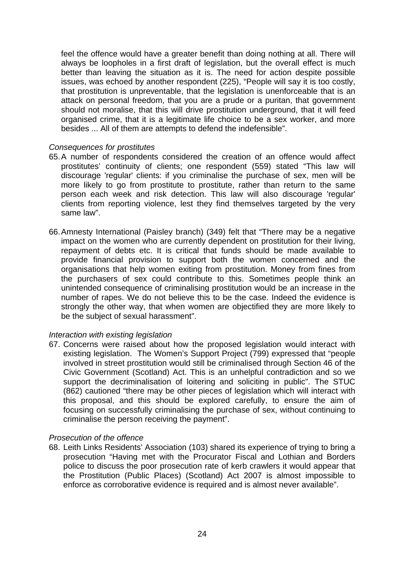feel the offence would have a greater benefit than doing nothing at all. There will always be loopholes in a first draft of legislation, but the overall effect is much better than leaving the situation as it is. The need for action despite possible issues, was echoed by another respondent (225), "People will say it is too costly, that prostitution is unpreventable, that the legislation is unenforceable that is an attack on personal freedom, that you are a prude or a puritan, that government should not moralise, that this will drive prostitution underground, that it will feed organised crime, that it is a legitimate life choice to be a sex worker, and more besides ... All of them are attempts to defend the indefensible".

### *Consequences for prostitutes*

- 65. A number of respondents considered the creation of an offence would affect prostitutes' continuity of clients; one respondent (559) stated "This law will discourage 'regular' clients: if you criminalise the purchase of sex, men will be more likely to go from prostitute to prostitute, rather than return to the same person each week and risk detection. This law will also discourage 'regular' clients from reporting violence, lest they find themselves targeted by the very same law".
- 66. Amnesty International (Paisley branch) (349) felt that "There may be a negative impact on the women who are currently dependent on prostitution for their living, repayment of debts etc. It is critical that funds should be made available to provide financial provision to support both the women concerned and the organisations that help women exiting from prostitution. Money from fines from the purchasers of sex could contribute to this. Sometimes people think an unintended consequence of criminalising prostitution would be an increase in the number of rapes. We do not believe this to be the case. Indeed the evidence is strongly the other way, that when women are objectified they are more likely to be the subject of sexual harassment".

## *Interaction with existing legislation*

67. Concerns were raised about how the proposed legislation would interact with existing legislation. The Women's Support Project (799) expressed that "people involved in street prostitution would still be criminalised through Section 46 of the Civic Government (Scotland) Act. This is an unhelpful contradiction and so we support the decriminalisation of loitering and soliciting in public". The STUC (862) cautioned "there may be other pieces of legislation which will interact with this proposal, and this should be explored carefully, to ensure the aim of focusing on successfully criminalising the purchase of sex, without continuing to criminalise the person receiving the payment".

## *Prosecution of the offence*

68. Leith Links Residents' Association (103) shared its experience of trying to bring a prosecution "Having met with the Procurator Fiscal and Lothian and Borders police to discuss the poor prosecution rate of kerb crawlers it would appear that the Prostitution (Public Places) (Scotland) Act 2007 is almost impossible to enforce as corroborative evidence is required and is almost never available".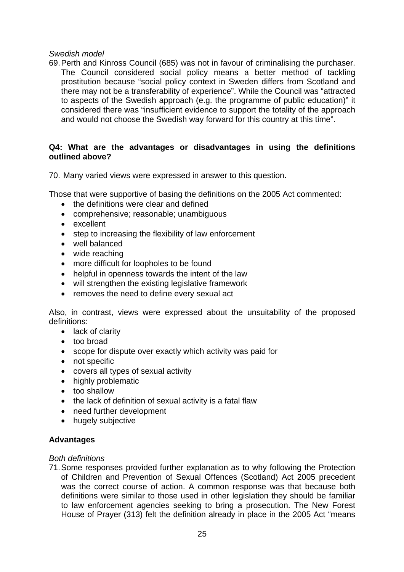## *Swedish model*

69. Perth and Kinross Council (685) was not in favour of criminalising the purchaser. The Council considered social policy means a better method of tackling prostitution because "social policy context in Sweden differs from Scotland and there may not be a transferability of experience". While the Council was "attracted to aspects of the Swedish approach (e.g. the programme of public education)" it considered there was "insufficient evidence to support the totality of the approach and would not choose the Swedish way forward for this country at this time".

## **Q4: What are the advantages or disadvantages in using the definitions outlined above?**

70. Many varied views were expressed in answer to this question.

Those that were supportive of basing the definitions on the 2005 Act commented:

- the definitions were clear and defined
- comprehensive; reasonable; unambiguous
- excellent
- step to increasing the flexibility of law enforcement
- well balanced
- wide reaching
- more difficult for loopholes to be found
- helpful in openness towards the intent of the law
- will strengthen the existing legislative framework
- removes the need to define every sexual act

Also, in contrast, views were expressed about the unsuitability of the proposed definitions:

- lack of clarity
- too broad
- scope for dispute over exactly which activity was paid for
- not specific
- covers all types of sexual activity
- highly problematic
- too shallow
- the lack of definition of sexual activity is a fatal flaw
- need further development
- hugely subjective

### **Advantages**

#### *Both definitions*

71. Some responses provided further explanation as to why following the Protection of Children and Prevention of Sexual Offences (Scotland) Act 2005 precedent was the correct course of action. A common response was that because both definitions were similar to those used in other legislation they should be familiar to law enforcement agencies seeking to bring a prosecution. The New Forest House of Prayer (313) felt the definition already in place in the 2005 Act "means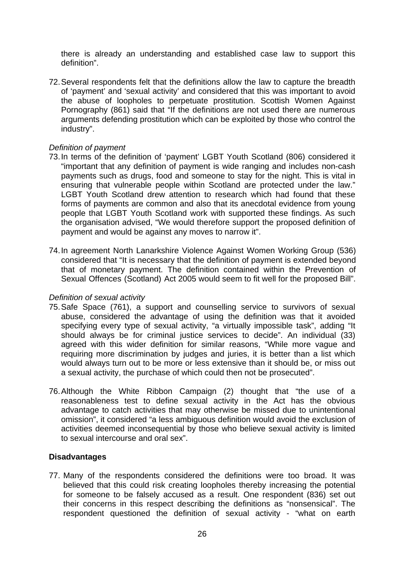there is already an understanding and established case law to support this definition".

72. Several respondents felt that the definitions allow the law to capture the breadth of 'payment' and 'sexual activity' and considered that this was important to avoid the abuse of loopholes to perpetuate prostitution. Scottish Women Against Pornography (861) said that "If the definitions are not used there are numerous arguments defending prostitution which can be exploited by those who control the industry".

## *Definition of payment*

- 73. In terms of the definition of 'payment' LGBT Youth Scotland (806) considered it "important that any definition of payment is wide ranging and includes non-cash payments such as drugs, food and someone to stay for the night. This is vital in ensuring that vulnerable people within Scotland are protected under the law." LGBT Youth Scotland drew attention to research which had found that these forms of payments are common and also that its anecdotal evidence from young people that LGBT Youth Scotland work with supported these findings. As such the organisation advised, "We would therefore support the proposed definition of payment and would be against any moves to narrow it".
- 74. In agreement North Lanarkshire Violence Against Women Working Group (536) considered that "It is necessary that the definition of payment is extended beyond that of monetary payment. The definition contained within the Prevention of Sexual Offences (Scotland) Act 2005 would seem to fit well for the proposed Bill".

## *Definition of sexual activity*

- 75. Safe Space (761), a support and counselling service to survivors of sexual abuse, considered the advantage of using the definition was that it avoided specifying every type of sexual activity, "a virtually impossible task", adding "It should always be for criminal justice services to decide". An individual (33) agreed with this wider definition for similar reasons, "While more vague and requiring more discrimination by judges and juries, it is better than a list which would always turn out to be more or less extensive than it should be, or miss out a sexual activity, the purchase of which could then not be prosecuted".
- 76. Although the White Ribbon Campaign (2) thought that "the use of a reasonableness test to define sexual activity in the Act has the obvious advantage to catch activities that may otherwise be missed due to unintentional omission", it considered "a less ambiguous definition would avoid the exclusion of activities deemed inconsequential by those who believe sexual activity is limited to sexual intercourse and oral sex".

## **Disadvantages**

77. Many of the respondents considered the definitions were too broad. It was believed that this could risk creating loopholes thereby increasing the potential for someone to be falsely accused as a result. One respondent (836) set out their concerns in this respect describing the definitions as "nonsensical". The respondent questioned the definition of sexual activity - "what on earth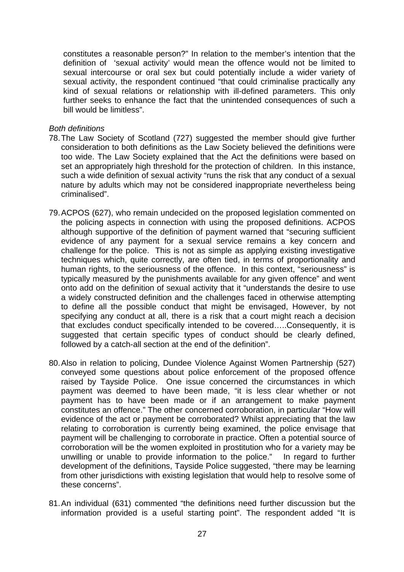constitutes a reasonable person?" In relation to the member's intention that the definition of 'sexual activity' would mean the offence would not be limited to sexual intercourse or oral sex but could potentially include a wider variety of sexual activity, the respondent continued "that could criminalise practically any kind of sexual relations or relationship with ill-defined parameters. This only further seeks to enhance the fact that the unintended consequences of such a bill would be limitless".

### *Both definitions*

- 78. The Law Society of Scotland (727) suggested the member should give further consideration to both definitions as the Law Society believed the definitions were too wide. The Law Society explained that the Act the definitions were based on set an appropriately high threshold for the protection of children. In this instance, such a wide definition of sexual activity "runs the risk that any conduct of a sexual nature by adults which may not be considered inappropriate nevertheless being criminalised".
- 79. ACPOS (627), who remain undecided on the proposed legislation commented on the policing aspects in connection with using the proposed definitions. ACPOS although supportive of the definition of payment warned that "securing sufficient evidence of any payment for a sexual service remains a key concern and challenge for the police. This is not as simple as applying existing investigative techniques which, quite correctly, are often tied, in terms of proportionality and human rights, to the seriousness of the offence. In this context, "seriousness" is typically measured by the punishments available for any given offence" and went onto add on the definition of sexual activity that it "understands the desire to use a widely constructed definition and the challenges faced in otherwise attempting to define all the possible conduct that might be envisaged, However, by not specifying any conduct at all, there is a risk that a court might reach a decision that excludes conduct specifically intended to be covered…..Consequently, it is suggested that certain specific types of conduct should be clearly defined, followed by a catch-all section at the end of the definition".
- 80. Also in relation to policing, Dundee Violence Against Women Partnership (527) conveyed some questions about police enforcement of the proposed offence raised by Tayside Police. One issue concerned the circumstances in which payment was deemed to have been made, "it is less clear whether or not payment has to have been made or if an arrangement to make payment constitutes an offence." The other concerned corroboration, in particular "How will evidence of the act or payment be corroborated? Whilst appreciating that the law relating to corroboration is currently being examined, the police envisage that payment will be challenging to corroborate in practice. Often a potential source of corroboration will be the women exploited in prostitution who for a variety may be unwilling or unable to provide information to the police." In regard to further development of the definitions, Tayside Police suggested, "there may be learning from other jurisdictions with existing legislation that would help to resolve some of these concerns".
- 81. An individual (631) commented "the definitions need further discussion but the information provided is a useful starting point". The respondent added "It is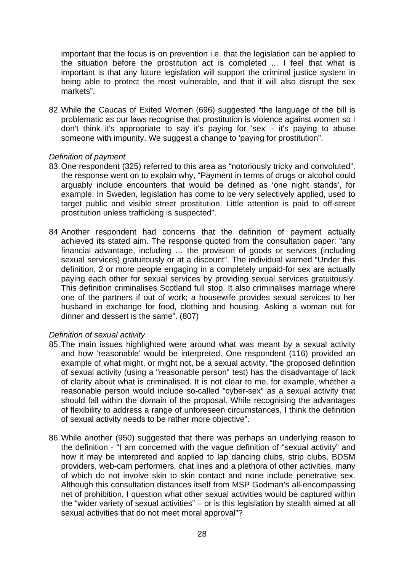important that the focus is on prevention i.e. that the legislation can be applied to the situation before the prostitution act is completed ... I feel that what is important is that any future legislation will support the criminal justice system in being able to protect the most vulnerable, and that it will also disrupt the sex markets".

82. While the Caucas of Exited Women (696) suggested "the language of the bill is problematic as our laws recognise that prostitution is violence against women so I don't think it's appropriate to say it's paying for 'sex' - it's paying to abuse someone with impunity. We suggest a change to 'paying for prostitution".

## *Definition of payment*

- 83. One respondent (325) referred to this area as "notoriously tricky and convoluted", the response went on to explain why, "Payment in terms of drugs or alcohol could arguably include encounters that would be defined as 'one night stands', for example. In Sweden, legislation has come to be very selectively applied, used to target public and visible street prostitution. Little attention is paid to off-street prostitution unless trafficking is suspected".
- 84. Another respondent had concerns that the definition of payment actually achieved its stated aim. The response quoted from the consultation paper: "any financial advantage, including … the provision of goods or services (including sexual services) gratuitously or at a discount". The individual warned "Under this definition, 2 or more people engaging in a completely unpaid-for sex are actually paying each other for sexual services by providing sexual services gratuitously. This definition criminalises Scotland full stop. It also criminalises marriage where one of the partners if out of work; a housewife provides sexual services to her husband in exchange for food, clothing and housing. Asking a woman out for dinner and dessert is the same". (807)

## *Definition of sexual activity*

- 85. The main issues highlighted were around what was meant by a sexual activity and how 'reasonable' would be interpreted. One respondent (116) provided an example of what might, or might not, be a sexual activity, "the proposed definition of sexual activity (using a "reasonable person" test) has the disadvantage of lack of clarity about what is criminalised. It is not clear to me, for example, whether a reasonable person would include so-called "cyber-sex" as a sexual activity that should fall within the domain of the proposal. While recognising the advantages of flexibility to address a range of unforeseen circumstances, I think the definition of sexual activity needs to be rather more objective".
- 86. While another (950) suggested that there was perhaps an underlying reason to the definition - "I am concerned with the vague definition of "sexual activity" and how it may be interpreted and applied to lap dancing clubs, strip clubs, BDSM providers, web-cam performers, chat lines and a plethora of other activities, many of which do not involve skin to skin contact and none include penetrative sex. Although this consultation distances itself from MSP Godman's all-encompassing net of prohibition, I question what other sexual activities would be captured within the "wider variety of sexual activities" – or is this legislation by stealth aimed at all sexual activities that do not meet moral approval"?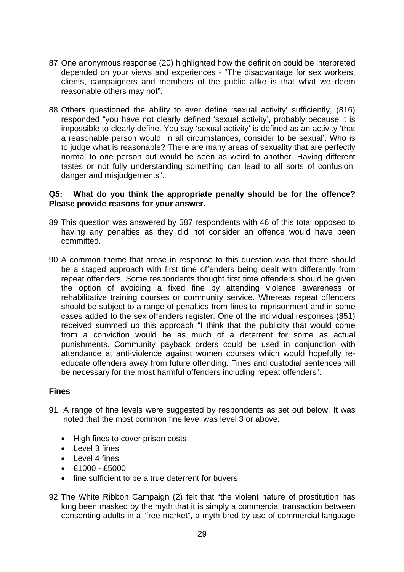- 87. One anonymous response (20) highlighted how the definition could be interpreted depended on your views and experiences - "The disadvantage for sex workers, clients, campaigners and members of the public alike is that what we deem reasonable others may not".
- 88. Others questioned the ability to ever define 'sexual activity' sufficiently, (816) responded "you have not clearly defined 'sexual activity', probably because it is impossible to clearly define. You say 'sexual activity' is defined as an activity 'that a reasonable person would, in all circumstances, consider to be sexual'. Who is to judge what is reasonable? There are many areas of sexuality that are perfectly normal to one person but would be seen as weird to another. Having different tastes or not fully understanding something can lead to all sorts of confusion, danger and misjudgements".

## **Q5: What do you think the appropriate penalty should be for the offence? Please provide reasons for your answer.**

- 89. This question was answered by 587 respondents with 46 of this total opposed to having any penalties as they did not consider an offence would have been committed.
- 90. A common theme that arose in response to this question was that there should be a staged approach with first time offenders being dealt with differently from repeat offenders. Some respondents thought first time offenders should be given the option of avoiding a fixed fine by attending violence awareness or rehabilitative training courses or community service. Whereas repeat offenders should be subject to a range of penalties from fines to imprisonment and in some cases added to the sex offenders register. One of the individual responses (851) received summed up this approach "I think that the publicity that would come from a conviction would be as much of a deterrent for some as actual punishments. Community payback orders could be used in conjunction with attendance at anti-violence against women courses which would hopefully reeducate offenders away from future offending. Fines and custodial sentences will be necessary for the most harmful offenders including repeat offenders".

## **Fines**

- 91. A range of fine levels were suggested by respondents as set out below. It was noted that the most common fine level was level 3 or above:
	- High fines to cover prison costs
	- Level 3 fines
	- $\bullet$  Level 4 fines
	- $\cdot$  £1000 £5000
	- fine sufficient to be a true deterrent for buyers
- 92. The White Ribbon Campaign (2) felt that "the violent nature of prostitution has long been masked by the myth that it is simply a commercial transaction between consenting adults in a "free market", a myth bred by use of commercial language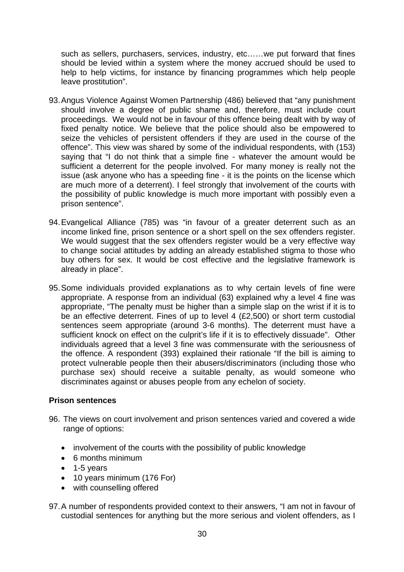such as sellers, purchasers, services, industry, etc……we put forward that fines should be levied within a system where the money accrued should be used to help to help victims, for instance by financing programmes which help people leave prostitution".

- 93. Angus Violence Against Women Partnership (486) believed that "any punishment should involve a degree of public shame and, therefore, must include court proceedings. We would not be in favour of this offence being dealt with by way of fixed penalty notice. We believe that the police should also be empowered to seize the vehicles of persistent offenders if they are used in the course of the offence". This view was shared by some of the individual respondents, with (153) saying that "I do not think that a simple fine - whatever the amount would be sufficient a deterrent for the people involved. For many money is really not the issue (ask anyone who has a speeding fine - it is the points on the license which are much more of a deterrent). I feel strongly that involvement of the courts with the possibility of public knowledge is much more important with possibly even a prison sentence".
- 94. Evangelical Alliance (785) was "in favour of a greater deterrent such as an income linked fine, prison sentence or a short spell on the sex offenders register. We would suggest that the sex offenders register would be a very effective way to change social attitudes by adding an already established stigma to those who buy others for sex. It would be cost effective and the legislative framework is already in place".
- 95. Some individuals provided explanations as to why certain levels of fine were appropriate. A response from an individual (63) explained why a level 4 fine was appropriate, "The penalty must be higher than a simple slap on the wrist if it is to be an effective deterrent. Fines of up to level 4 (£2,500) or short term custodial sentences seem appropriate (around 3-6 months). The deterrent must have a sufficient knock on effect on the culprit's life if it is to effectively dissuade". Other individuals agreed that a level 3 fine was commensurate with the seriousness of the offence. A respondent (393) explained their rationale "If the bill is aiming to protect vulnerable people then their abusers/discriminators (including those who purchase sex) should receive a suitable penalty, as would someone who discriminates against or abuses people from any echelon of society.

## **Prison sentences**

- 96. The views on court involvement and prison sentences varied and covered a wide range of options:
	- involvement of the courts with the possibility of public knowledge
	- 6 months minimum
	- $\bullet$  1-5 years
	- 10 years minimum (176 For)
	- with counselling offered
- 97. A number of respondents provided context to their answers, "I am not in favour of custodial sentences for anything but the more serious and violent offenders, as I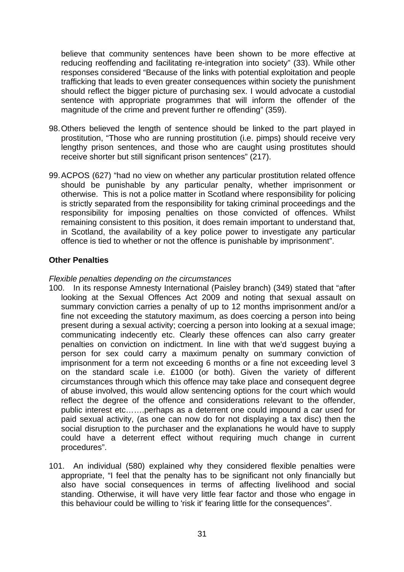believe that community sentences have been shown to be more effective at reducing reoffending and facilitating re-integration into society" (33). While other responses considered "Because of the links with potential exploitation and people trafficking that leads to even greater consequences within society the punishment should reflect the bigger picture of purchasing sex. I would advocate a custodial sentence with appropriate programmes that will inform the offender of the magnitude of the crime and prevent further re offending" (359).

- 98. Others believed the length of sentence should be linked to the part played in prostitution, "Those who are running prostitution (i.e. pimps) should receive very lengthy prison sentences, and those who are caught using prostitutes should receive shorter but still significant prison sentences" (217).
- 99. ACPOS (627) "had no view on whether any particular prostitution related offence should be punishable by any particular penalty, whether imprisonment or otherwise. This is not a police matter in Scotland where responsibility for policing is strictly separated from the responsibility for taking criminal proceedings and the responsibility for imposing penalties on those convicted of offences. Whilst remaining consistent to this position, it does remain important to understand that, in Scotland, the availability of a key police power to investigate any particular offence is tied to whether or not the offence is punishable by imprisonment".

## **Other Penalties**

### *Flexible penalties depending on the circumstances*

- 100. In its response Amnesty International (Paisley branch) (349) stated that "after looking at the Sexual Offences Act 2009 and noting that sexual assault on summary conviction carries a penalty of up to 12 months imprisonment and/or a fine not exceeding the statutory maximum, as does coercing a person into being present during a sexual activity; coercing a person into looking at a sexual image; communicating indecently etc. Clearly these offences can also carry greater penalties on conviction on indictment. In line with that we'd suggest buying a person for sex could carry a maximum penalty on summary conviction of imprisonment for a term not exceeding 6 months or a fine not exceeding level 3 on the standard scale i.e. £1000 (or both). Given the variety of different circumstances through which this offence may take place and consequent degree of abuse involved, this would allow sentencing options for the court which would reflect the degree of the offence and considerations relevant to the offender, public interest etc…….perhaps as a deterrent one could impound a car used for paid sexual activity, (as one can now do for not displaying a tax disc) then the social disruption to the purchaser and the explanations he would have to supply could have a deterrent effect without requiring much change in current procedures".
- 101. An individual (580) explained why they considered flexible penalties were appropriate, "I feel that the penalty has to be significant not only financially but also have social consequences in terms of affecting livelihood and social standing. Otherwise, it will have very little fear factor and those who engage in this behaviour could be willing to 'risk it' fearing little for the consequences".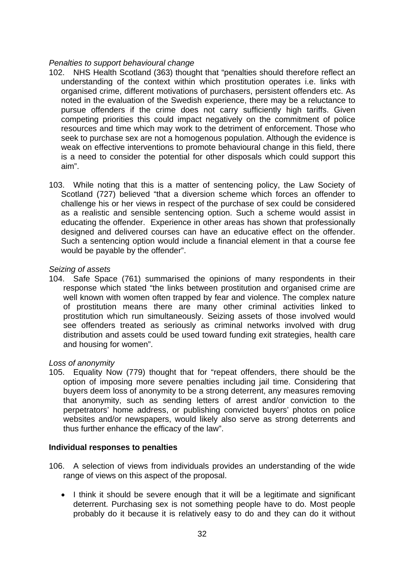## *Penalties to support behavioural change*

- 102. NHS Health Scotland (363) thought that "penalties should therefore reflect an understanding of the context within which prostitution operates i.e. links with organised crime, different motivations of purchasers, persistent offenders etc. As noted in the evaluation of the Swedish experience, there may be a reluctance to pursue offenders if the crime does not carry sufficiently high tariffs. Given competing priorities this could impact negatively on the commitment of police resources and time which may work to the detriment of enforcement. Those who seek to purchase sex are not a homogenous population. Although the evidence is weak on effective interventions to promote behavioural change in this field, there is a need to consider the potential for other disposals which could support this aim".
- 103. While noting that this is a matter of sentencing policy, the Law Society of Scotland (727) believed "that a diversion scheme which forces an offender to challenge his or her views in respect of the purchase of sex could be considered as a realistic and sensible sentencing option. Such a scheme would assist in educating the offender. Experience in other areas has shown that professionally designed and delivered courses can have an educative effect on the offender. Such a sentencing option would include a financial element in that a course fee would be payable by the offender".

### *Seizing of assets*

104. Safe Space (761) summarised the opinions of many respondents in their response which stated "the links between prostitution and organised crime are well known with women often trapped by fear and violence. The complex nature of prostitution means there are many other criminal activities linked to prostitution which run simultaneously. Seizing assets of those involved would see offenders treated as seriously as criminal networks involved with drug distribution and assets could be used toward funding exit strategies, health care and housing for women".

## *Loss of anonymity*

105. Equality Now (779) thought that for "repeat offenders, there should be the option of imposing more severe penalties including jail time. Considering that buyers deem loss of anonymity to be a strong deterrent, any measures removing that anonymity, such as sending letters of arrest and/or conviction to the perpetrators' home address, or publishing convicted buyers' photos on police websites and/or newspapers, would likely also serve as strong deterrents and thus further enhance the efficacy of the law".

## **Individual responses to penalties**

- 106. A selection of views from individuals provides an understanding of the wide range of views on this aspect of the proposal.
	- I think it should be severe enough that it will be a legitimate and significant deterrent. Purchasing sex is not something people have to do. Most people probably do it because it is relatively easy to do and they can do it without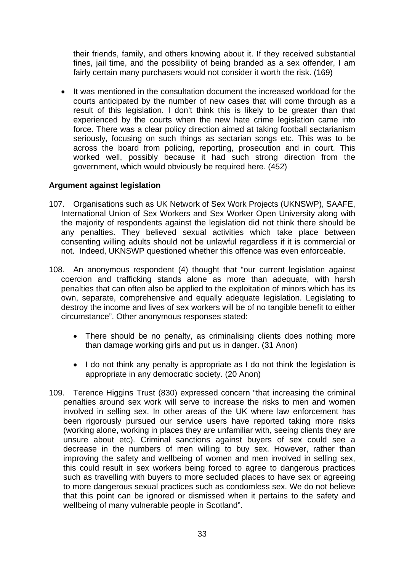their friends, family, and others knowing about it. If they received substantial fines, jail time, and the possibility of being branded as a sex offender, I am fairly certain many purchasers would not consider it worth the risk. (169)

 It was mentioned in the consultation document the increased workload for the courts anticipated by the number of new cases that will come through as a result of this legislation. I don't think this is likely to be greater than that experienced by the courts when the new hate crime legislation came into force. There was a clear policy direction aimed at taking football sectarianism seriously, focusing on such things as sectarian songs etc. This was to be across the board from policing, reporting, prosecution and in court. This worked well, possibly because it had such strong direction from the government, which would obviously be required here. (452)

## **Argument against legislation**

- 107. Organisations such as UK Network of Sex Work Projects (UKNSWP), SAAFE, International Union of Sex Workers and Sex Worker Open University along with the majority of respondents against the legislation did not think there should be any penalties. They believed sexual activities which take place between consenting willing adults should not be unlawful regardless if it is commercial or not. Indeed, UKNSWP questioned whether this offence was even enforceable.
- 108. An anonymous respondent (4) thought that "our current legislation against coercion and trafficking stands alone as more than adequate, with harsh penalties that can often also be applied to the exploitation of minors which has its own, separate, comprehensive and equally adequate legislation. Legislating to destroy the income and lives of sex workers will be of no tangible benefit to either circumstance". Other anonymous responses stated:
	- There should be no penalty, as criminalising clients does nothing more than damage working girls and put us in danger. (31 Anon)
	- I do not think any penalty is appropriate as I do not think the legislation is appropriate in any democratic society. (20 Anon)
- 109. Terence Higgins Trust (830) expressed concern "that increasing the criminal penalties around sex work will serve to increase the risks to men and women involved in selling sex. In other areas of the UK where law enforcement has been rigorously pursued our service users have reported taking more risks (working alone, working in places they are unfamiliar with, seeing clients they are unsure about etc). Criminal sanctions against buyers of sex could see a decrease in the numbers of men willing to buy sex. However, rather than improving the safety and wellbeing of women and men involved in selling sex, this could result in sex workers being forced to agree to dangerous practices such as travelling with buyers to more secluded places to have sex or agreeing to more dangerous sexual practices such as condomless sex. We do not believe that this point can be ignored or dismissed when it pertains to the safety and wellbeing of many vulnerable people in Scotland".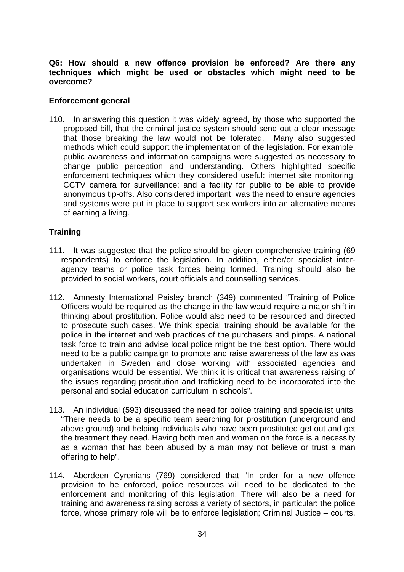## **Q6: How should a new offence provision be enforced? Are there any techniques which might be used or obstacles which might need to be overcome?**

## **Enforcement general**

110. In answering this question it was widely agreed, by those who supported the proposed bill, that the criminal justice system should send out a clear message that those breaking the law would not be tolerated. Many also suggested methods which could support the implementation of the legislation. For example, public awareness and information campaigns were suggested as necessary to change public perception and understanding. Others highlighted specific enforcement techniques which they considered useful: internet site monitoring; CCTV camera for surveillance; and a facility for public to be able to provide anonymous tip-offs. Also considered important, was the need to ensure agencies and systems were put in place to support sex workers into an alternative means of earning a living.

## **Training**

- 111. It was suggested that the police should be given comprehensive training (69 respondents) to enforce the legislation. In addition, either/or specialist interagency teams or police task forces being formed. Training should also be provided to social workers, court officials and counselling services.
- 112. Amnesty International Paisley branch (349) commented "Training of Police Officers would be required as the change in the law would require a major shift in thinking about prostitution. Police would also need to be resourced and directed to prosecute such cases. We think special training should be available for the police in the internet and web practices of the purchasers and pimps. A national task force to train and advise local police might be the best option. There would need to be a public campaign to promote and raise awareness of the law as was undertaken in Sweden and close working with associated agencies and organisations would be essential. We think it is critical that awareness raising of the issues regarding prostitution and trafficking need to be incorporated into the personal and social education curriculum in schools".
- 113. An individual (593) discussed the need for police training and specialist units, "There needs to be a specific team searching for prostitution (underground and above ground) and helping individuals who have been prostituted get out and get the treatment they need. Having both men and women on the force is a necessity as a woman that has been abused by a man may not believe or trust a man offering to help".
- 114. Aberdeen Cyrenians (769) considered that "In order for a new offence provision to be enforced, police resources will need to be dedicated to the enforcement and monitoring of this legislation. There will also be a need for training and awareness raising across a variety of sectors, in particular: the police force, whose primary role will be to enforce legislation; Criminal Justice – courts,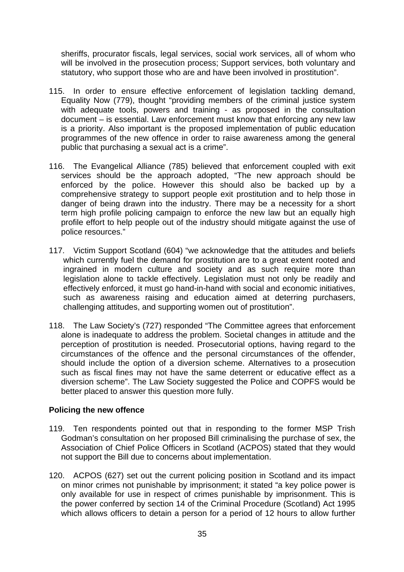sheriffs, procurator fiscals, legal services, social work services, all of whom who will be involved in the prosecution process; Support services, both voluntary and statutory, who support those who are and have been involved in prostitution".

- 115. In order to ensure effective enforcement of legislation tackling demand, Equality Now (779), thought "providing members of the criminal justice system with adequate tools, powers and training - as proposed in the consultation document – is essential. Law enforcement must know that enforcing any new law is a priority. Also important is the proposed implementation of public education programmes of the new offence in order to raise awareness among the general public that purchasing a sexual act is a crime".
- 116. The Evangelical Alliance (785) believed that enforcement coupled with exit services should be the approach adopted, "The new approach should be enforced by the police. However this should also be backed up by a comprehensive strategy to support people exit prostitution and to help those in danger of being drawn into the industry. There may be a necessity for a short term high profile policing campaign to enforce the new law but an equally high profile effort to help people out of the industry should mitigate against the use of police resources."
- 117. Victim Support Scotland (604) "we acknowledge that the attitudes and beliefs which currently fuel the demand for prostitution are to a great extent rooted and ingrained in modern culture and society and as such require more than legislation alone to tackle effectively. Legislation must not only be readily and effectively enforced, it must go hand-in-hand with social and economic initiatives, such as awareness raising and education aimed at deterring purchasers, challenging attitudes, and supporting women out of prostitution".
- 118. The Law Society's (727) responded "The Committee agrees that enforcement alone is inadequate to address the problem. Societal changes in attitude and the perception of prostitution is needed. Prosecutorial options, having regard to the circumstances of the offence and the personal circumstances of the offender, should include the option of a diversion scheme. Alternatives to a prosecution such as fiscal fines may not have the same deterrent or educative effect as a diversion scheme". The Law Society suggested the Police and COPFS would be better placed to answer this question more fully.

## **Policing the new offence**

- 119. Ten respondents pointed out that in responding to the former MSP Trish Godman's consultation on her proposed Bill criminalising the purchase of sex, the Association of Chief Police Officers in Scotland (ACPOS) stated that they would not support the Bill due to concerns about implementation.
- 120. ACPOS (627) set out the current policing position in Scotland and its impact on minor crimes not punishable by imprisonment; it stated "a key police power is on miner entities the parameters of crimes punishable by imprisonment. This is the power conferred by section 14 of the Criminal Procedure (Scotland) Act 1995 which allows officers to detain a person for a period of 12 hours to allow further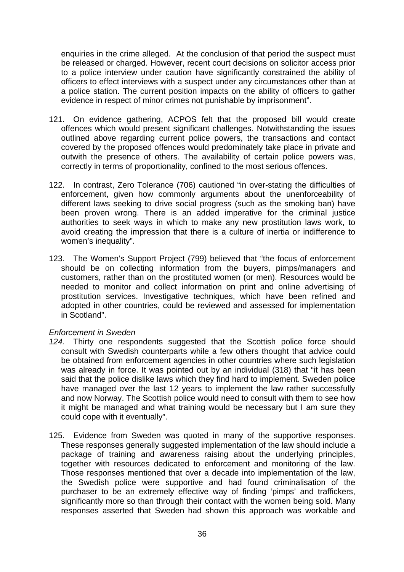enquiries in the crime alleged. At the conclusion of that period the suspect must be released or charged. However, recent court decisions on solicitor access prior to a police interview under caution have significantly constrained the ability of officers to effect interviews with a suspect under any circumstances other than at a police station. The current position impacts on the ability of officers to gather evidence in respect of minor crimes not punishable by imprisonment".

- 121. On evidence gathering, ACPOS felt that the proposed bill would create offences which would present significant challenges. Notwithstanding the issues outlined above regarding current police powers, the transactions and contact covered by the proposed offences would predominately take place in private and outwith the presence of others. The availability of certain police powers was, correctly in terms of proportionality, confined to the most serious offences.
- 122. In contrast, Zero Tolerance (706) cautioned "in over-stating the difficulties of enforcement, given how commonly arguments about the unenforceability of different laws seeking to drive social progress (such as the smoking ban) have been proven wrong. There is an added imperative for the criminal justice authorities to seek ways in which to make any new prostitution laws work, to avoid creating the impression that there is a culture of inertia or indifference to women's inequality".
- 123. The Women's Support Project (799) believed that "the focus of enforcement should be on collecting information from the buyers, pimps/managers and customers, rather than on the prostituted women (or men). Resources would be needed to monitor and collect information on print and online advertising of prostitution services. Investigative techniques, which have been refined and adopted in other countries, could be reviewed and assessed for implementation in Scotland".

## *Enforcement in Sweden*

- *124.* Thirty one respondents suggested that the Scottish police force should consult with Swedish counterparts while a few others thought that advice could be obtained from enforcement agencies in other countries where such legislation was already in force. It was pointed out by an individual (318) that "it has been said that the police dislike laws which they find hard to implement. Sweden police have managed over the last 12 years to implement the law rather successfully and now Norway. The Scottish police would need to consult with them to see how it might be managed and what training would be necessary but I am sure they could cope with it eventually".
- 125. Evidence from Sweden was quoted in many of the supportive responses. These responses generally suggested implementation of the law should include a package of training and awareness raising about the underlying principles, together with resources dedicated to enforcement and monitoring of the law. Those responses mentioned that over a decade into implementation of the law, the Swedish police were supportive and had found criminalisation of the purchaser to be an extremely effective way of finding 'pimps' and traffickers, significantly more so than through their contact with the women being sold. Many responses asserted that Sweden had shown this approach was workable and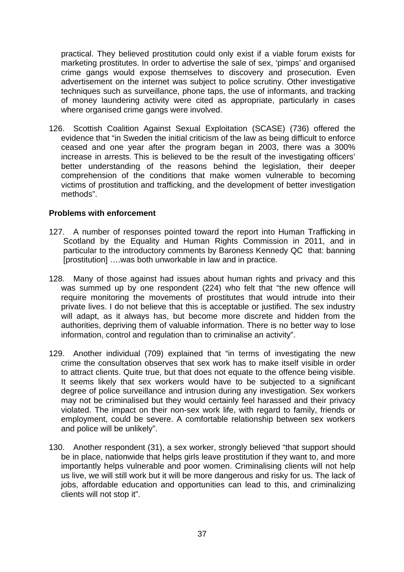practical. They believed prostitution could only exist if a viable forum exists for marketing prostitutes. In order to advertise the sale of sex, 'pimps' and organised crime gangs would expose themselves to discovery and prosecution. Even advertisement on the internet was subject to police scrutiny. Other investigative techniques such as surveillance, phone taps, the use of informants, and tracking of money laundering activity were cited as appropriate, particularly in cases where organised crime gangs were involved.

126. Scottish Coalition Against Sexual Exploitation (SCASE) (736) offered the evidence that "in Sweden the initial criticism of the law as being difficult to enforce ceased and one year after the program began in 2003, there was a 300% increase in arrests. This is believed to be the result of the investigating officers' better understanding of the reasons behind the legislation, their deeper comprehension of the conditions that make women vulnerable to becoming victims of prostitution and trafficking, and the development of better investigation methods".

## **Problems with enforcement**

- 127. A number of responses pointed toward the report into Human Trafficking in Scotland by the Equality and Human Rights Commission in 2011, and in particular to the introductory comments by Baroness Kennedy QC that: banning [prostitution] ….was both unworkable in law and in practice.
- 128. Many of those against had issues about human rights and privacy and this was summed up by one respondent (224) who felt that "the new offence will require monitoring the movements of prostitutes that would intrude into their private lives. I do not believe that this is acceptable or justified. The sex industry will adapt, as it always has, but become more discrete and hidden from the authorities, depriving them of valuable information. There is no better way to lose information, control and regulation than to criminalise an activity".
- 129. Another individual (709) explained that "in terms of investigating the new crime the consultation observes that sex work has to make itself visible in order to attract clients. Quite true, but that does not equate to the offence being visible. It seems likely that sex workers would have to be subjected to a significant degree of police surveillance and intrusion during any investigation. Sex workers may not be criminalised but they would certainly feel harassed and their privacy violated. The impact on their non-sex work life, with regard to family, friends or employment, could be severe. A comfortable relationship between sex workers and police will be unlikely".
- 130. Another respondent (31), a sex worker, strongly believed "that support should be in place, nationwide that helps girls leave prostitution if they want to, and more importantly helps vulnerable and poor women. Criminalising clients will not help us live, we will still work but it will be more dangerous and risky for us. The lack of jobs, affordable education and opportunities can lead to this, and criminalizing clients will not stop it".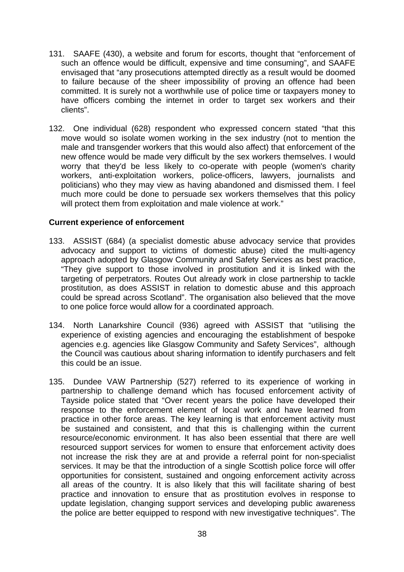- 131. SAAFE (430), a website and forum for escorts, thought that "enforcement of such an offence would be difficult, expensive and time consuming", and SAAFE envisaged that "any prosecutions attempted directly as a result would be doomed to failure because of the sheer impossibility of proving an offence had been committed. It is surely not a worthwhile use of police time or taxpayers money to have officers combing the internet in order to target sex workers and their clients".
- 132. One individual (628) respondent who expressed concern stated "that this move would so isolate women working in the sex industry (not to mention the male and transgender workers that this would also affect) that enforcement of the new offence would be made very difficult by the sex workers themselves. I would worry that they'd be less likely to co-operate with people (women's charity workers, anti-exploitation workers, police-officers, lawyers, journalists and politicians) who they may view as having abandoned and dismissed them. I feel much more could be done to persuade sex workers themselves that this policy will protect them from exploitation and male violence at work."

## **Current experience of enforcement**

- 133. ASSIST (684) (a specialist domestic abuse advocacy service that provides advocacy and support to victims of domestic abuse) cited the multi-agency approach adopted by Glasgow Community and Safety Services as best practice, "They give support to those involved in prostitution and it is linked with the targeting of perpetrators. Routes Out already work in close partnership to tackle prostitution, as does ASSIST in relation to domestic abuse and this approach could be spread across Scotland". The organisation also believed that the move to one police force would allow for a coordinated approach.
- 134. North Lanarkshire Council (936) agreed with ASSIST that "utilising the experience of existing agencies and encouraging the establishment of bespoke agencies e.g. agencies like Glasgow Community and Safety Services", although the Council was cautious about sharing information to identify purchasers and felt this could be an issue.
- 135. Dundee VAW Partnership (527) referred to its experience of working in partnership to challenge demand which has focused enforcement activity of Tayside police stated that "Over recent years the police have developed their response to the enforcement element of local work and have learned from practice in other force areas. The key learning is that enforcement activity must be sustained and consistent, and that this is challenging within the current resource/economic environment. It has also been essential that there are well resourced support services for women to ensure that enforcement activity does not increase the risk they are at and provide a referral point for non-specialist services. It may be that the introduction of a single Scottish police force will offer opportunities for consistent, sustained and ongoing enforcement activity across all areas of the country. It is also likely that this will facilitate sharing of best practice and innovation to ensure that as prostitution evolves in response to update legislation, changing support services and developing public awareness the police are better equipped to respond with new investigative techniques". The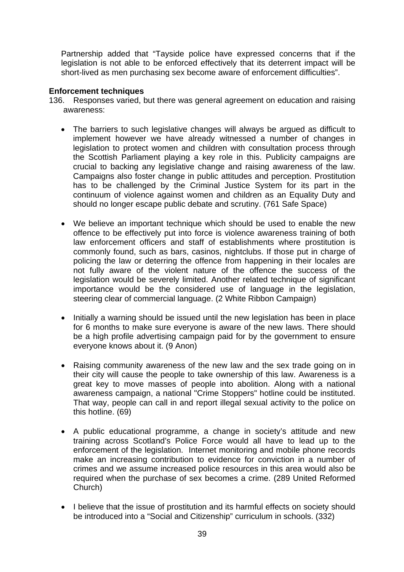Partnership added that "Tayside police have expressed concerns that if the legislation is not able to be enforced effectively that its deterrent impact will be short-lived as men purchasing sex become aware of enforcement difficulties".

## **Enforcement techniques**

- 136. Responses varied, but there was general agreement on education and raising awareness:
	- The barriers to such legislative changes will always be argued as difficult to implement however we have already witnessed a number of changes in legislation to protect women and children with consultation process through the Scottish Parliament playing a key role in this. Publicity campaigns are crucial to backing any legislative change and raising awareness of the law. Campaigns also foster change in public attitudes and perception. Prostitution has to be challenged by the Criminal Justice System for its part in the continuum of violence against women and children as an Equality Duty and should no longer escape public debate and scrutiny. (761 Safe Space)
	- We believe an important technique which should be used to enable the new offence to be effectively put into force is violence awareness training of both law enforcement officers and staff of establishments where prostitution is commonly found, such as bars, casinos, nightclubs. If those put in charge of policing the law or deterring the offence from happening in their locales are not fully aware of the violent nature of the offence the success of the legislation would be severely limited. Another related technique of significant importance would be the considered use of language in the legislation, steering clear of commercial language. (2 White Ribbon Campaign)
	- Initially a warning should be issued until the new legislation has been in place for 6 months to make sure everyone is aware of the new laws. There should be a high profile advertising campaign paid for by the government to ensure everyone knows about it. (9 Anon)
	- Raising community awareness of the new law and the sex trade going on in their city will cause the people to take ownership of this law. Awareness is a great key to move masses of people into abolition. Along with a national awareness campaign, a national "Crime Stoppers" hotline could be instituted. That way, people can call in and report illegal sexual activity to the police on this hotline. (69)
	- A public educational programme, a change in society's attitude and new training across Scotland's Police Force would all have to lead up to the enforcement of the legislation. Internet monitoring and mobile phone records make an increasing contribution to evidence for conviction in a number of crimes and we assume increased police resources in this area would also be required when the purchase of sex becomes a crime. (289 United Reformed Church)
	- I believe that the issue of prostitution and its harmful effects on society should be introduced into a "Social and Citizenship" curriculum in schools. (332)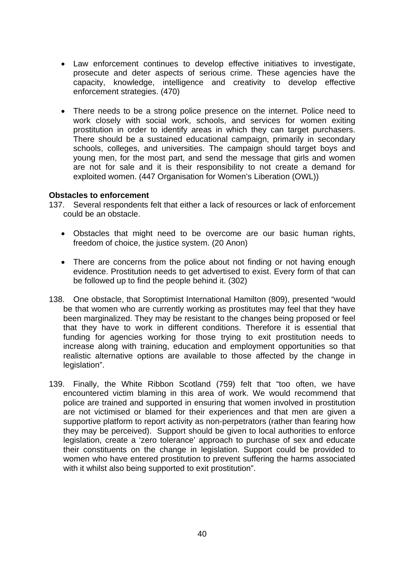- Law enforcement continues to develop effective initiatives to investigate, prosecute and deter aspects of serious crime. These agencies have the capacity, knowledge, intelligence and creativity to develop effective enforcement strategies. (470)
- There needs to be a strong police presence on the internet. Police need to work closely with social work, schools, and services for women exiting prostitution in order to identify areas in which they can target purchasers. There should be a sustained educational campaign, primarily in secondary schools, colleges, and universities. The campaign should target boys and young men, for the most part, and send the message that girls and women are not for sale and it is their responsibility to not create a demand for exploited women. (447 Organisation for Women's Liberation (OWL))

### **Obstacles to enforcement**

- 137. Several respondents felt that either a lack of resources or lack of enforcement could be an obstacle.
	- Obstacles that might need to be overcome are our basic human rights, freedom of choice, the justice system. (20 Anon)
	- There are concerns from the police about not finding or not having enough evidence. Prostitution needs to get advertised to exist. Every form of that can be followed up to find the people behind it. (302)
- 138. One obstacle, that Soroptimist International Hamilton (809), presented "would be that women who are currently working as prostitutes may feel that they have been marginalized. They may be resistant to the changes being proposed or feel that they have to work in different conditions. Therefore it is essential that funding for agencies working for those trying to exit prostitution needs to increase along with training, education and employment opportunities so that realistic alternative options are available to those affected by the change in legislation".
- 139. Finally, the White Ribbon Scotland (759) felt that "too often, we have encountered victim blaming in this area of work. We would recommend that police are trained and supported in ensuring that women involved in prostitution are not victimised or blamed for their experiences and that men are given a supportive platform to report activity as non-perpetrators (rather than fearing how they may be perceived). Support should be given to local authorities to enforce legislation, create a 'zero tolerance' approach to purchase of sex and educate their constituents on the change in legislation. Support could be provided to women who have entered prostitution to prevent suffering the harms associated with it whilst also being supported to exit prostitution".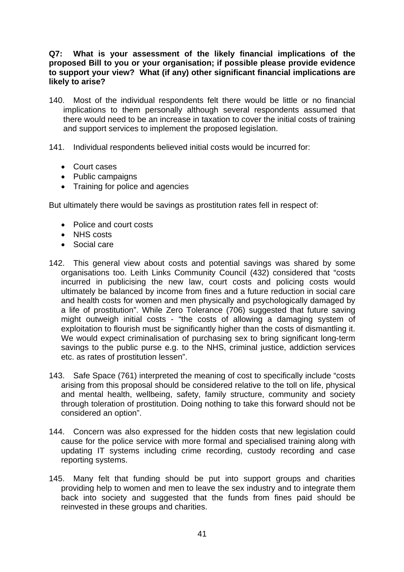## **Q7: What is your assessment of the likely financial implications of the proposed Bill to you or your organisation; if possible please provide evidence to support your view? What (if any) other significant financial implications are likely to arise?**

- 140. Most of the individual respondents felt there would be little or no financial implications to them personally although several respondents assumed that there would need to be an increase in taxation to cover the initial costs of training and support services to implement the proposed legislation.
- 141. Individual respondents believed initial costs would be incurred for:
	- Court cases
	- Public campaigns
	- Training for police and agencies

But ultimately there would be savings as prostitution rates fell in respect of:

- Police and court costs
- NHS costs
- Social care
- 142. This general view about costs and potential savings was shared by some organisations too. Leith Links Community Council (432) considered that "costs incurred in publicising the new law, court costs and policing costs would ultimately be balanced by income from fines and a future reduction in social care and health costs for women and men physically and psychologically damaged by a life of prostitution". While Zero Tolerance (706) suggested that future saving might outweigh initial costs - "the costs of allowing a damaging system of exploitation to flourish must be significantly higher than the costs of dismantling it. We would expect criminalisation of purchasing sex to bring significant long-term savings to the public purse e.g. to the NHS, criminal justice, addiction services etc. as rates of prostitution lessen".
- 143. Safe Space (761) interpreted the meaning of cost to specifically include "costs arising from this proposal should be considered relative to the toll on life, physical and mental health, wellbeing, safety, family structure, community and society through toleration of prostitution. Doing nothing to take this forward should not be considered an option".
- 144. Concern was also expressed for the hidden costs that new legislation could cause for the police service with more formal and specialised training along with updating IT systems including crime recording, custody recording and case reporting systems.
- 145. Many felt that funding should be put into support groups and charities providing help to women and men to leave the sex industry and to integrate them back into society and suggested that the funds from fines paid should be reinvested in these groups and charities.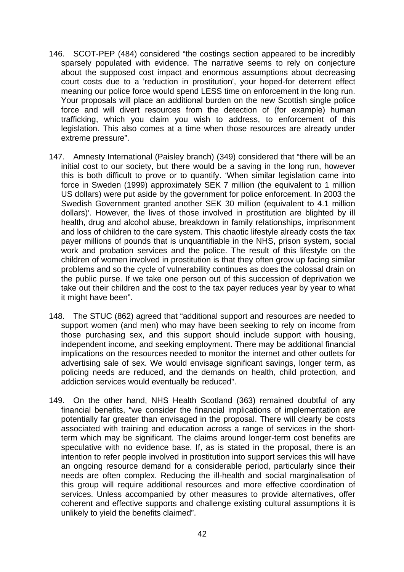- 146. SCOT-PEP (484) considered "the costings section appeared to be incredibly sparsely populated with evidence. The narrative seems to rely on conjecture about the supposed cost impact and enormous assumptions about decreasing court costs due to a 'reduction in prostitution', your hoped-for deterrent effect meaning our police force would spend LESS time on enforcement in the long run. Your proposals will place an additional burden on the new Scottish single police force and will divert resources from the detection of (for example) human trafficking, which you claim you wish to address, to enforcement of this legislation. This also comes at a time when those resources are already under extreme pressure".
- 147. Amnesty International (Paisley branch) (349) considered that "there will be an initial cost to our society, but there would be a saving in the long run, however this is both difficult to prove or to quantify. 'When similar legislation came into force in Sweden (1999) approximately SEK 7 million (the equivalent to 1 million US dollars) were put aside by the government for police enforcement. In 2003 the Swedish Government granted another SEK 30 million (equivalent to 4.1 million dollars)'. However, the lives of those involved in prostitution are blighted by ill health, drug and alcohol abuse, breakdown in family relationships, imprisonment and loss of children to the care system. This chaotic lifestyle already costs the tax payer millions of pounds that is unquantifiable in the NHS, prison system, social work and probation services and the police. The result of this lifestyle on the children of women involved in prostitution is that they often grow up facing similar problems and so the cycle of vulnerability continues as does the colossal drain on the public purse. If we take one person out of this succession of deprivation we take out their children and the cost to the tax payer reduces year by year to what it might have been".
- 148. The STUC (862) agreed that "additional support and resources are needed to support women (and men) who may have been seeking to rely on income from those purchasing sex, and this support should include support with housing, independent income, and seeking employment. There may be additional financial implications on the resources needed to monitor the internet and other outlets for advertising sale of sex. We would envisage significant savings, longer term, as policing needs are reduced, and the demands on health, child protection, and addiction services would eventually be reduced".
- 149. On the other hand, NHS Health Scotland (363) remained doubtful of any financial benefits, "we consider the financial implications of implementation are potentially far greater than envisaged in the proposal. There will clearly be costs associated with training and education across a range of services in the shortterm which may be significant. The claims around longer-term cost benefits are speculative with no evidence base. If, as is stated in the proposal, there is an intention to refer people involved in prostitution into support services this will have an ongoing resource demand for a considerable period, particularly since their needs are often complex. Reducing the ill-health and social marginalisation of this group will require additional resources and more effective coordination of services. Unless accompanied by other measures to provide alternatives, offer coherent and effective supports and challenge existing cultural assumptions it is unlikely to yield the benefits claimed".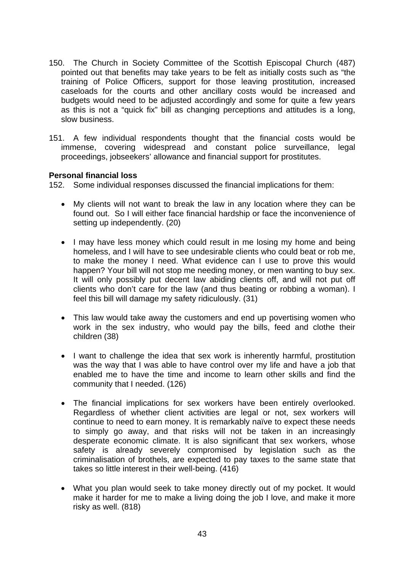- 150. The Church in Society Committee of the Scottish Episcopal Church (487) pointed out that benefits may take years to be felt as initially costs such as "the training of Police Officers, support for those leaving prostitution, increased caseloads for the courts and other ancillary costs would be increased and budgets would need to be adjusted accordingly and some for quite a few years as this is not a "quick fix" bill as changing perceptions and attitudes is a long, slow business.
- 151. A few individual respondents thought that the financial costs would be immense, covering widespread and constant police surveillance, legal proceedings, jobseekers' allowance and financial support for prostitutes.

## **Personal financial loss**

152. Some individual responses discussed the financial implications for them:

- My clients will not want to break the law in any location where they can be found out. So I will either face financial hardship or face the inconvenience of setting up independently. (20)
- I may have less money which could result in me losing my home and being homeless, and I will have to see undesirable clients who could beat or rob me, to make the money I need. What evidence can I use to prove this would happen? Your bill will not stop me needing money, or men wanting to buy sex. It will only possibly put decent law abiding clients off, and will not put off clients who don't care for the law (and thus beating or robbing a woman). I feel this bill will damage my safety ridiculously. (31)
- This law would take away the customers and end up povertising women who work in the sex industry, who would pay the bills, feed and clothe their children (38)
- I want to challenge the idea that sex work is inherently harmful, prostitution was the way that I was able to have control over my life and have a job that enabled me to have the time and income to learn other skills and find the community that I needed. (126)
- The financial implications for sex workers have been entirely overlooked. Regardless of whether client activities are legal or not, sex workers will continue to need to earn money. It is remarkably naïve to expect these needs to simply go away, and that risks will not be taken in an increasingly desperate economic climate. It is also significant that sex workers, whose safety is already severely compromised by legislation such as the criminalisation of brothels, are expected to pay taxes to the same state that takes so little interest in their well-being. (416)
- What you plan would seek to take money directly out of my pocket. It would make it harder for me to make a living doing the job I love, and make it more risky as well. (818)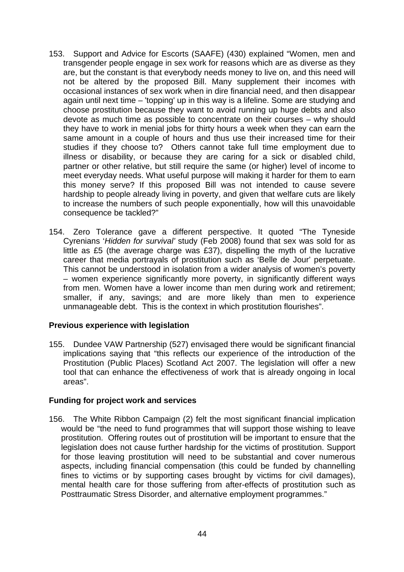- 153. Support and Advice for Escorts (SAAFE) (430) explained "Women, men and transgender people engage in sex work for reasons which are as diverse as they are, but the constant is that everybody needs money to live on, and this need will not be altered by the proposed Bill. Many supplement their incomes with occasional instances of sex work when in dire financial need, and then disappear again until next time – 'topping' up in this way is a lifeline. Some are studying and choose prostitution because they want to avoid running up huge debts and also devote as much time as possible to concentrate on their courses – why should they have to work in menial jobs for thirty hours a week when they can earn the same amount in a couple of hours and thus use their increased time for their studies if they choose to? Others cannot take full time employment due to illness or disability, or because they are caring for a sick or disabled child, partner or other relative, but still require the same (or higher) level of income to meet everyday needs. What useful purpose will making it harder for them to earn this money serve? If this proposed Bill was not intended to cause severe hardship to people already living in poverty, and given that welfare cuts are likely to increase the numbers of such people exponentially, how will this unavoidable consequence be tackled?"
- 154. Zero Tolerance gave a different perspective. It quoted "The Tyneside Cyrenians '*Hidden for survival'* study (Feb 2008) found that sex was sold for as little as £5 (the average charge was £37), dispelling the myth of the lucrative career that media portrayals of prostitution such as 'Belle de Jour' perpetuate. This cannot be understood in isolation from a wider analysis of women's poverty – women experience significantly more poverty, in significantly different ways from men. Women have a lower income than men during work and retirement; smaller, if any, savings; and are more likely than men to experience unmanageable debt. This is the context in which prostitution flourishes".

## **Previous experience with legislation**

155. Dundee VAW Partnership (527) envisaged there would be significant financial implications saying that "this reflects our experience of the introduction of the Prostitution (Public Places) Scotland Act 2007. The legislation will offer a new tool that can enhance the effectiveness of work that is already ongoing in local areas".

# **Funding for project work and services**

156. The White Ribbon Campaign (2) felt the most significant financial implication would be "the need to fund programmes that will support those wishing to leave prostitution. Offering routes out of prostitution will be important to ensure that the legislation does not cause further hardship for the victims of prostitution. Support for those leaving prostitution will need to be substantial and cover numerous aspects, including financial compensation (this could be funded by channelling fines to victims or by supporting cases brought by victims for civil damages), mental health care for those suffering from after-effects of prostitution such as Posttraumatic Stress Disorder, and alternative employment programmes."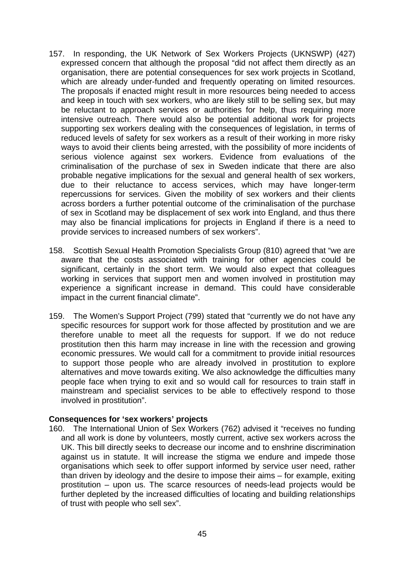- 157. In responding, the UK Network of Sex Workers Projects (UKNSWP) (427) expressed concern that although the proposal "did not affect them directly as an organisation, there are potential consequences for sex work projects in Scotland, which are already under-funded and frequently operating on limited resources. The proposals if enacted might result in more resources being needed to access and keep in touch with sex workers, who are likely still to be selling sex, but may be reluctant to approach services or authorities for help, thus requiring more intensive outreach. There would also be potential additional work for projects supporting sex workers dealing with the consequences of legislation, in terms of reduced levels of safety for sex workers as a result of their working in more risky ways to avoid their clients being arrested, with the possibility of more incidents of serious violence against sex workers. Evidence from evaluations of the criminalisation of the purchase of sex in Sweden indicate that there are also probable negative implications for the sexual and general health of sex workers, due to their reluctance to access services, which may have longer-term repercussions for services. Given the mobility of sex workers and their clients across borders a further potential outcome of the criminalisation of the purchase of sex in Scotland may be displacement of sex work into England, and thus there may also be financial implications for projects in England if there is a need to provide services to increased numbers of sex workers".
- 158. Scottish Sexual Health Promotion Specialists Group (810) agreed that "we are aware that the costs associated with training for other agencies could be significant, certainly in the short term. We would also expect that colleagues working in services that support men and women involved in prostitution may experience a significant increase in demand. This could have considerable impact in the current financial climate".
- 159. The Women's Support Project (799) stated that "currently we do not have any specific resources for support work for those affected by prostitution and we are therefore unable to meet all the requests for support. If we do not reduce prostitution then this harm may increase in line with the recession and growing economic pressures. We would call for a commitment to provide initial resources to support those people who are already involved in prostitution to explore alternatives and move towards exiting. We also acknowledge the difficulties many people face when trying to exit and so would call for resources to train staff in mainstream and specialist services to be able to effectively respond to those involved in prostitution".

#### **Consequences for 'sex workers' projects**

160. The International Union of Sex Workers (762) advised it "receives no funding and all work is done by volunteers, mostly current, active sex workers across the UK. This bill directly seeks to decrease our income and to enshrine discrimination against us in statute. It will increase the stigma we endure and impede those organisations which seek to offer support informed by service user need, rather than driven by ideology and the desire to impose their aims – for example, exiting prostitution – upon us. The scarce resources of needs-lead projects would be further depleted by the increased difficulties of locating and building relationships of trust with people who sell sex".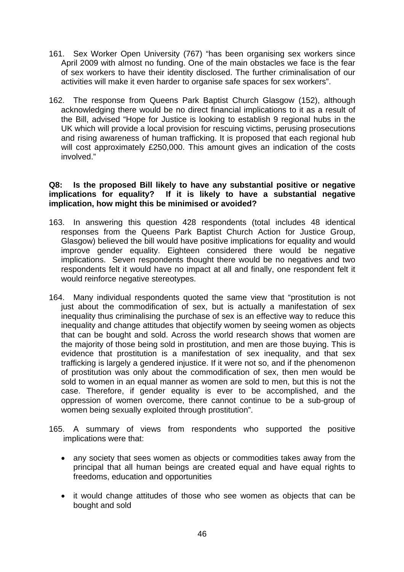- 161. Sex Worker Open University (767) "has been organising sex workers since April 2009 with almost no funding. One of the main obstacles we face is the fear of sex workers to have their identity disclosed. The further criminalisation of our activities will make it even harder to organise safe spaces for sex workers".
- 162. The response from Queens Park Baptist Church Glasgow (152), although acknowledging there would be no direct financial implications to it as a result of the Bill, advised "Hope for Justice is looking to establish 9 regional hubs in the UK which will provide a local provision for rescuing victims, perusing prosecutions and rising awareness of human trafficking. It is proposed that each regional hub will cost approximately £250,000. This amount gives an indication of the costs involved."

## **Q8: Is the proposed Bill likely to have any substantial positive or negative implications for equality? If it is likely to have a substantial negative implication, how might this be minimised or avoided?**

- 163. In answering this question 428 respondents (total includes 48 identical responses from the Queens Park Baptist Church Action for Justice Group, Glasgow) believed the bill would have positive implications for equality and would improve gender equality. Eighteen considered there would be negative implications. Seven respondents thought there would be no negatives and two respondents felt it would have no impact at all and finally, one respondent felt it would reinforce negative stereotypes.
- 164. Many individual respondents quoted the same view that "prostitution is not just about the commodification of sex, but is actually a manifestation of sex inequality thus criminalising the purchase of sex is an effective way to reduce this inequality and change attitudes that objectify women by seeing women as objects that can be bought and sold. Across the world research shows that women are the majority of those being sold in prostitution, and men are those buying. This is evidence that prostitution is a manifestation of sex inequality, and that sex trafficking is largely a gendered injustice. If it were not so, and if the phenomenon of prostitution was only about the commodification of sex, then men would be sold to women in an equal manner as women are sold to men, but this is not the case. Therefore, if gender equality is ever to be accomplished, and the oppression of women overcome, there cannot continue to be a sub-group of women being sexually exploited through prostitution".
- 165. A summary of views from respondents who supported the positive implications were that:
	- any society that sees women as objects or commodities takes away from the principal that all human beings are created equal and have equal rights to freedoms, education and opportunities
	- it would change attitudes of those who see women as objects that can be bought and sold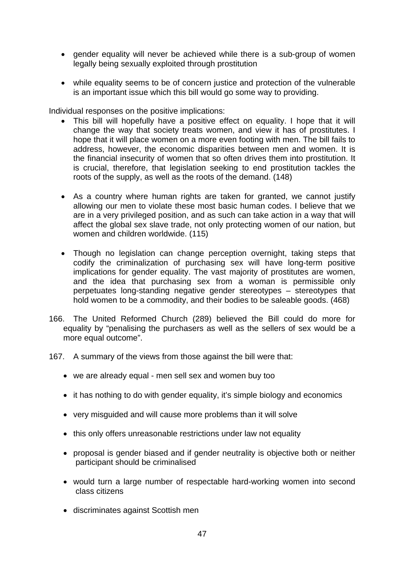- gender equality will never be achieved while there is a sub-group of women legally being sexually exploited through prostitution
- while equality seems to be of concern justice and protection of the vulnerable is an important issue which this bill would go some way to providing.

Individual responses on the positive implications:

- This bill will hopefully have a positive effect on equality. I hope that it will change the way that society treats women, and view it has of prostitutes. I hope that it will place women on a more even footing with men. The bill fails to address, however, the economic disparities between men and women. It is the financial insecurity of women that so often drives them into prostitution. It is crucial, therefore, that legislation seeking to end prostitution tackles the roots of the supply, as well as the roots of the demand. (148)
- As a country where human rights are taken for granted, we cannot justify allowing our men to violate these most basic human codes. I believe that we are in a very privileged position, and as such can take action in a way that will affect the global sex slave trade, not only protecting women of our nation, but women and children worldwide. (115)
- Though no legislation can change perception overnight, taking steps that codify the criminalization of purchasing sex will have long-term positive implications for gender equality. The vast majority of prostitutes are women, and the idea that purchasing sex from a woman is permissible only perpetuates long-standing negative gender stereotypes – stereotypes that hold women to be a commodity, and their bodies to be saleable goods. (468)
- 166. The United Reformed Church (289) believed the Bill could do more for equality by "penalising the purchasers as well as the sellers of sex would be a more equal outcome".
- 167. A summary of the views from those against the bill were that:
	- we are already equal men sell sex and women buy too
	- it has nothing to do with gender equality, it's simple biology and economics
	- very misguided and will cause more problems than it will solve
	- this only offers unreasonable restrictions under law not equality
	- proposal is gender biased and if gender neutrality is objective both or neither participant should be criminalised
	- would turn a large number of respectable hard-working women into second class citizens
	- discriminates against Scottish men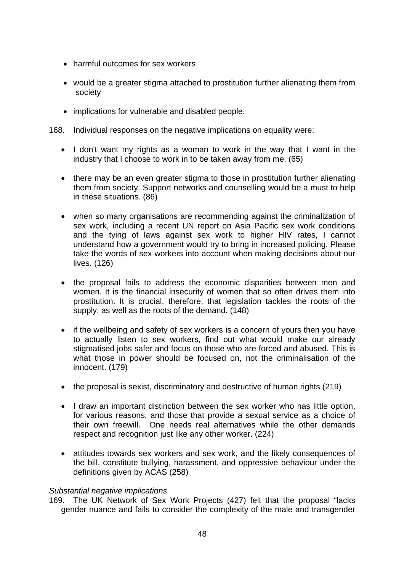- harmful outcomes for sex workers
- would be a greater stigma attached to prostitution further alienating them from society
- implications for vulnerable and disabled people.
- 168. Individual responses on the negative implications on equality were:
	- I don't want my rights as a woman to work in the way that I want in the industry that I choose to work in to be taken away from me. (65)
	- there may be an even greater stigma to those in prostitution further alienating them from society. Support networks and counselling would be a must to help in these situations. (86)
	- when so many organisations are recommending against the criminalization of sex work, including a recent UN report on Asia Pacific sex work conditions and the tying of laws against sex work to higher HIV rates, I cannot understand how a government would try to bring in increased policing. Please take the words of sex workers into account when making decisions about our lives. (126)
	- the proposal fails to address the economic disparities between men and women. It is the financial insecurity of women that so often drives them into prostitution. It is crucial, therefore, that legislation tackles the roots of the supply, as well as the roots of the demand. (148)
	- if the wellbeing and safety of sex workers is a concern of yours then you have to actually listen to sex workers, find out what would make our already stigmatised jobs safer and focus on those who are forced and abused. This is what those in power should be focused on, not the criminalisation of the innocent. (179)
	- the proposal is sexist, discriminatory and destructive of human rights (219)
	- I draw an important distinction between the sex worker who has little option, for various reasons, and those that provide a sexual service as a choice of their own freewill. One needs real alternatives while the other demands respect and recognition just like any other worker. (224)
	- attitudes towards sex workers and sex work, and the likely consequences of the bill, constitute bullying, harassment, and oppressive behaviour under the definitions given by ACAS (258)

## *Substantial negative implications*

169. The UK Network of Sex Work Projects (427) felt that the proposal "lacks gender nuance and fails to consider the complexity of the male and transgender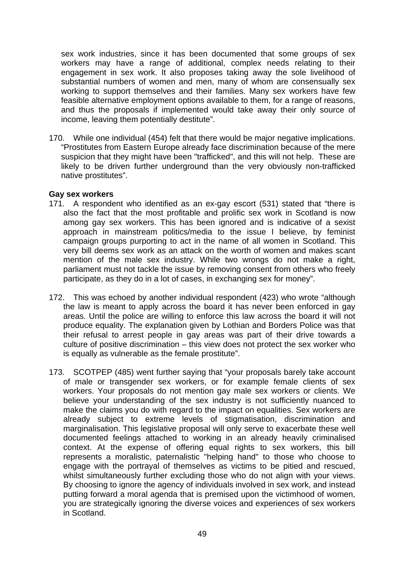sex work industries, since it has been documented that some groups of sex workers may have a range of additional, complex needs relating to their engagement in sex work. It also proposes taking away the sole livelihood of substantial numbers of women and men, many of whom are consensually sex working to support themselves and their families. Many sex workers have few feasible alternative employment options available to them, for a range of reasons, and thus the proposals if implemented would take away their only source of income, leaving them potentially destitute".

170. While one individual (454) felt that there would be major negative implications. "Prostitutes from Eastern Europe already face discrimination because of the mere suspicion that they might have been "trafficked", and this will not help. These are likely to be driven further underground than the very obviously non-trafficked native prostitutes".

#### **Gay sex workers**

- 171. A respondent who identified as an ex-gay escort (531) stated that "there is also the fact that the most profitable and prolific sex work in Scotland is now among gay sex workers. This has been ignored and is indicative of a sexist approach in mainstream politics/media to the issue I believe, by feminist campaign groups purporting to act in the name of all women in Scotland. This very bill deems sex work as an attack on the worth of women and makes scant mention of the male sex industry. While two wrongs do not make a right, parliament must not tackle the issue by removing consent from others who freely participate, as they do in a lot of cases, in exchanging sex for money".
- 172. This was echoed by another individual respondent (423) who wrote "although the law is meant to apply across the board it has never been enforced in gay areas. Until the police are willing to enforce this law across the board it will not produce equality. The explanation given by Lothian and Borders Police was that their refusal to arrest people in gay areas was part of their drive towards a culture of positive discrimination – this view does not protect the sex worker who is equally as vulnerable as the female prostitute".
- 173. SCOTPEP (485) went further saying that "your proposals barely take account of male or transgender sex workers, or for example female clients of sex workers. Your proposals do not mention gay male sex workers or clients. We believe your understanding of the sex industry is not sufficiently nuanced to make the claims you do with regard to the impact on equalities. Sex workers are already subject to extreme levels of stigmatisation, discrimination and marginalisation. This legislative proposal will only serve to exacerbate these well documented feelings attached to working in an already heavily criminalised context. At the expense of offering equal rights to sex workers, this bill represents a moralistic, paternalistic "helping hand" to those who choose to engage with the portrayal of themselves as victims to be pitied and rescued, whilst simultaneously further excluding those who do not align with your views. By choosing to ignore the agency of individuals involved in sex work, and instead putting forward a moral agenda that is premised upon the victimhood of women, you are strategically ignoring the diverse voices and experiences of sex workers in Scotland.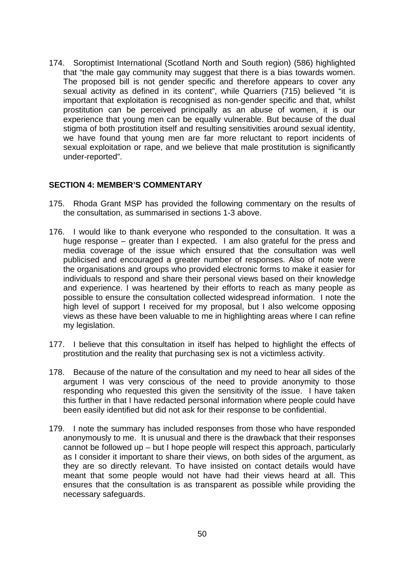174. Soroptimist International (Scotland North and South region) (586) highlighted that "the male gay community may suggest that there is a bias towards women. The proposed bill is not gender specific and therefore appears to cover any sexual activity as defined in its content", while Quarriers (715) believed "it is important that exploitation is recognised as non-gender specific and that, whilst prostitution can be perceived principally as an abuse of women, it is our experience that young men can be equally vulnerable. But because of the dual stigma of both prostitution itself and resulting sensitivities around sexual identity, we have found that young men are far more reluctant to report incidents of sexual exploitation or rape, and we believe that male prostitution is significantly under-reported".

## **SECTION 4: MEMBER'S COMMENTARY**

- 175. Rhoda Grant MSP has provided the following commentary on the results of the consultation, as summarised in sections 1-3 above.
- 176. I would like to thank everyone who responded to the consultation. It was a huge response – greater than I expected. I am also grateful for the press and media coverage of the issue which ensured that the consultation was well publicised and encouraged a greater number of responses. Also of note were the organisations and groups who provided electronic forms to make it easier for individuals to respond and share their personal views based on their knowledge and experience. I was heartened by their efforts to reach as many people as possible to ensure the consultation collected widespread information. I note the high level of support I received for my proposal, but I also welcome opposing views as these have been valuable to me in highlighting areas where I can refine my legislation.
- 177. I believe that this consultation in itself has helped to highlight the effects of prostitution and the reality that purchasing sex is not a victimless activity.
- 178. Because of the nature of the consultation and my need to hear all sides of the argument I was very conscious of the need to provide anonymity to those responding who requested this given the sensitivity of the issue. I have taken this further in that I have redacted personal information where people could have been easily identified but did not ask for their response to be confidential.
- 179. I note the summary has included responses from those who have responded anonymously to me. It is unusual and there is the drawback that their responses cannot be followed up – but I hope people will respect this approach, particularly as I consider it important to share their views, on both sides of the argument, as they are so directly relevant. To have insisted on contact details would have meant that some people would not have had their views heard at all. This ensures that the consultation is as transparent as possible while providing the necessary safeguards.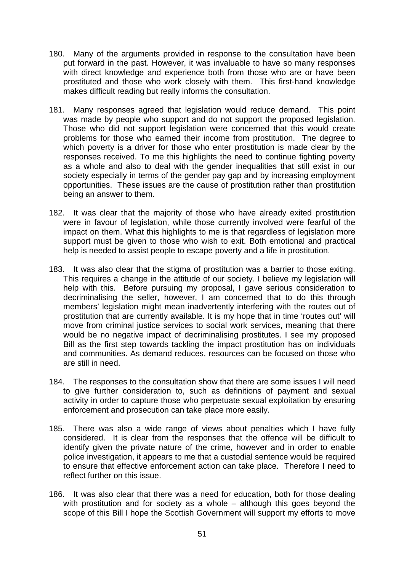- 180. Many of the arguments provided in response to the consultation have been put forward in the past. However, it was invaluable to have so many responses with direct knowledge and experience both from those who are or have been prostituted and those who work closely with them. This first-hand knowledge makes difficult reading but really informs the consultation.
- 181. Many responses agreed that legislation would reduce demand. This point was made by people who support and do not support the proposed legislation. Those who did not support legislation were concerned that this would create problems for those who earned their income from prostitution. The degree to which poverty is a driver for those who enter prostitution is made clear by the responses received. To me this highlights the need to continue fighting poverty as a whole and also to deal with the gender inequalities that still exist in our society especially in terms of the gender pay gap and by increasing employment opportunities. These issues are the cause of prostitution rather than prostitution being an answer to them.
- 182. It was clear that the majority of those who have already exited prostitution were in favour of legislation, while those currently involved were fearful of the impact on them. What this highlights to me is that regardless of legislation more support must be given to those who wish to exit. Both emotional and practical help is needed to assist people to escape poverty and a life in prostitution.
- 183. It was also clear that the stigma of prostitution was a barrier to those exiting. This requires a change in the attitude of our society. I believe my legislation will help with this. Before pursuing my proposal, I gave serious consideration to decriminalising the seller, however, I am concerned that to do this through members' legislation might mean inadvertently interfering with the routes out of prostitution that are currently available. It is my hope that in time 'routes out' will move from criminal justice services to social work services, meaning that there would be no negative impact of decriminalising prostitutes. I see my proposed Bill as the first step towards tackling the impact prostitution has on individuals and communities. As demand reduces, resources can be focused on those who are still in need.
- 184. The responses to the consultation show that there are some issues I will need to give further consideration to, such as definitions of payment and sexual activity in order to capture those who perpetuate sexual exploitation by ensuring enforcement and prosecution can take place more easily.
- 185. There was also a wide range of views about penalties which I have fully considered. It is clear from the responses that the offence will be difficult to identify given the private nature of the crime, however and in order to enable police investigation, it appears to me that a custodial sentence would be required to ensure that effective enforcement action can take place. Therefore I need to reflect further on this issue.
- 186. It was also clear that there was a need for education, both for those dealing with prostitution and for society as a whole – although this goes beyond the scope of this Bill I hope the Scottish Government will support my efforts to move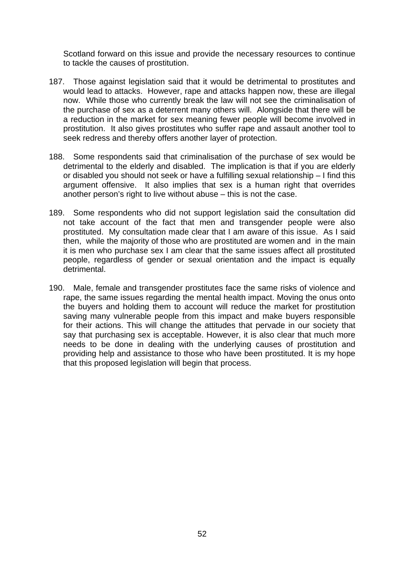Scotland forward on this issue and provide the necessary resources to continue to tackle the causes of prostitution.

- 187. Those against legislation said that it would be detrimental to prostitutes and would lead to attacks. However, rape and attacks happen now, these are illegal now. While those who currently break the law will not see the criminalisation of the purchase of sex as a deterrent many others will. Alongside that there will be a reduction in the market for sex meaning fewer people will become involved in prostitution. It also gives prostitutes who suffer rape and assault another tool to seek redress and thereby offers another layer of protection.
- 188. Some respondents said that criminalisation of the purchase of sex would be detrimental to the elderly and disabled. The implication is that if you are elderly or disabled you should not seek or have a fulfilling sexual relationship – I find this argument offensive. It also implies that sex is a human right that overrides another person's right to live without abuse – this is not the case.
- 189. Some respondents who did not support legislation said the consultation did not take account of the fact that men and transgender people were also prostituted. My consultation made clear that I am aware of this issue. As I said then, while the majority of those who are prostituted are women and in the main it is men who purchase sex I am clear that the same issues affect all prostituted people, regardless of gender or sexual orientation and the impact is equally detrimental.
- 190. Male, female and transgender prostitutes face the same risks of violence and rape, the same issues regarding the mental health impact. Moving the onus onto the buyers and holding them to account will reduce the market for prostitution saving many vulnerable people from this impact and make buyers responsible for their actions. This will change the attitudes that pervade in our society that say that purchasing sex is acceptable. However, it is also clear that much more needs to be done in dealing with the underlying causes of prostitution and providing help and assistance to those who have been prostituted. It is my hope that this proposed legislation will begin that process.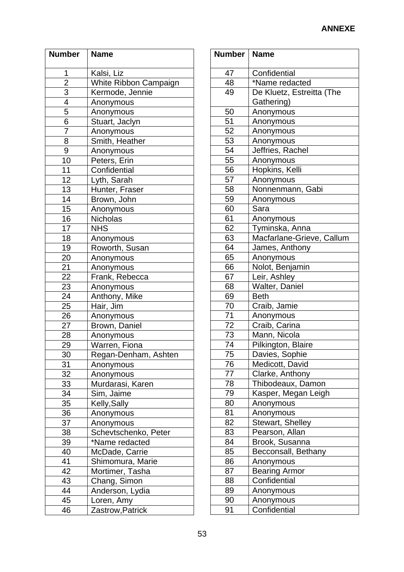| <b>Number</b>   | <b>Name</b>                     |
|-----------------|---------------------------------|
| 1               | Kalsi, Liz                      |
| $\overline{2}$  | White Ribbon Campaign           |
| $\overline{3}$  | Kermode, Jennie                 |
| $\overline{4}$  | Anonymous                       |
| 5               | Anonymous                       |
| 6               | Stuart, Jaclyn                  |
| 7               | Anonymous                       |
| 8               | Smith, Heather                  |
| $\overline{9}$  | Anonymous                       |
| 10              | Peters, Erin                    |
| $\overline{11}$ | Confidential                    |
| $\overline{12}$ | Lyth, Sarah                     |
| $\overline{13}$ | Hunter, Fraser                  |
| 14              | Brown, John                     |
| $\overline{15}$ | Anonymous                       |
| 16              | Nicholas                        |
| 17              | <b>NHS</b>                      |
| $\overline{18}$ | Anonymous                       |
| 19              | Roworth, Susan                  |
| 20              | Anonymous                       |
| 21              | Anonymous                       |
| $\overline{22}$ | Frank, Rebecca                  |
| <u>23</u>       | Anonymous                       |
| 24              | Anthony, Mike                   |
| 25              | Hair, Jim                       |
| 26              | Anonymous                       |
| 27              | Brown, Daniel                   |
| $\overline{28}$ | Anonymous                       |
| 29              | Warren, Fiona                   |
| 30              | Regan-Denham, Ashten            |
| 31              | Anonymous                       |
| 32              | Anonymous                       |
| 33              | Murdarasi, Karen                |
| 34              | Sim, Jaime                      |
| 35              | Kelly, Sally                    |
| 36              | Anonymous                       |
| 37              | Anonymous                       |
| 38              | Schevtschenko, Peter            |
| 39              | *Name redacted                  |
| 40<br>41        | McDade, Carrie                  |
|                 | Shimomura, Marie                |
| 42<br>43        | Mortimer, Tasha                 |
| 44              | Chang, Simon<br>Anderson, Lydia |
| 45              | Loren, Amy                      |
| 46              | Zastrow, Patrick                |
|                 |                                 |

| Number          | <b>Name</b>               |
|-----------------|---------------------------|
| 47              | Confidential              |
| 48              | *Name redacted            |
| 49              | De Kluetz, Estreitta (The |
|                 | Gathering)                |
| 50              | Anonymous                 |
| 51              | Anonymous                 |
| 52              | Anonymous                 |
| 53              | Anonymous                 |
| 54              | Jeffries, Rachel          |
| 55              | Anonymous                 |
| 56              | Hopkins, Kelli            |
| 57              | Anonymous                 |
| 58              | Nonnenmann, Gabi          |
| 59              | Anonymous                 |
| 60              | Sara                      |
| 61              | Anonymous                 |
| 62              | Tyminska, Anna            |
| 63              | Macfarlane-Grieve, Callum |
| 64              | James, Anthony            |
| 65              | Anonymous                 |
| 66              | Nolot, Benjamin           |
| 67              | Leir, Ashley              |
| 68              | Walter, Daniel            |
| 69              | <b>Beth</b>               |
| 70              | Craib, Jamie              |
| 71              | Anonymous                 |
| 72              | Craib, Carina             |
| 73              | Mann, Nicola              |
| 74              | Pilkington, Blaire        |
| $\frac{75}{2}$  | Davies, Sophie            |
| 76              | Medicott, David           |
| 77              | Clarke, Anthony           |
| $\overline{78}$ | Thibodeaux, Damon         |
| 79              | Kasper, Megan Leigh       |
| 80              | Anonymous                 |
| 81              | Anonymous                 |
| 82              | Stewart, Shelley          |
| 83              | Pearson, Allan            |
| 84              | Brook, Susanna            |
| 85              | Becconsall, Bethany       |
| 86              | Anonymous                 |
| 87              | <b>Bearing Armor</b>      |
| 88              | Confidential              |
| 89              | Anonymous                 |
| 90              | Anonymous                 |
| 91              | Confidential              |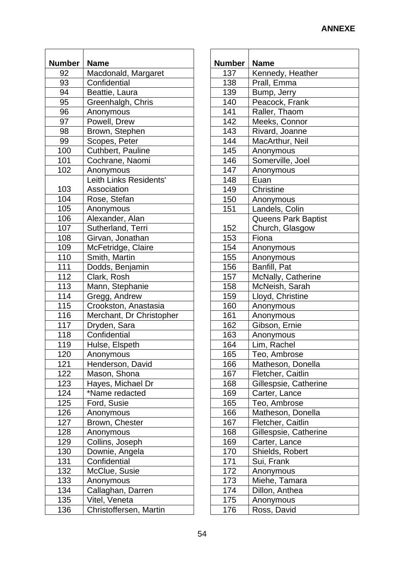| <b>Number</b> | <b>Name</b>              |
|---------------|--------------------------|
| 92            | Macdonald, Margaret      |
| 93            | Confidential             |
| 94            | Beattie, Laura           |
| 95            | Greenhalgh, Chris        |
| 96            | Anonymous                |
| 97            | Powell, Drew             |
| 98            | Brown, Stephen           |
| 99            | Scopes, Peter            |
| 100           | Cuthbert, Pauline        |
| 101           | Cochrane, Naomi          |
| 102           | Anonymous                |
|               | Leith Links Residents'   |
| 103           | Association              |
| 104           | Rose, Stefan             |
| 105           | Anonymous                |
| 106           | Alexander, Alan          |
| 107           | Sutherland, Terri        |
| 108           | Girvan, Jonathan         |
| 109           | McFetridge, Claire       |
| 110           | Smith, Martin            |
| 111           | Dodds, Benjamin          |
| 112           | Clark, Rosh              |
| 113           | Mann, Stephanie          |
| 114           | Gregg, Andrew            |
| 115           | Crookston, Anastasia     |
| 116           | Merchant, Dr Christopher |
| 117           | Dryden, Sara             |
| 118           | Confidential             |
| 119           | Hulse, Elspeth           |
| 120           | Anonymous                |
| 121           | Henderson, David         |
| 122           | Mason, Shona             |
| 123           | Hayes, Michael Dr        |
| 124           | *Name redacted           |
| 125           | Ford, Susie              |
| 126           | Anonymous                |
| 127           | Brown, Chester           |
| 128           | Anonymous                |
| 129           | Collins, Joseph          |
| 130           | Downie, Angela           |
| 131           | Confidential             |
| 132           | McClue, Susie            |
| 133           | Anonymous                |
| 134           | Callaghan, Darren        |
| 135           | Vitel, Veneta            |
| 136           | Christoffersen, Martin   |
|               |                          |

| Number | <b>Name</b>                |
|--------|----------------------------|
| 137    |                            |
| 138    | Kennedy, Heather           |
|        | Prall, Emma                |
| 139    | Bump, Jerry                |
| 140    | Peacock, Frank             |
| 141    | Raller, Thaom              |
| 142    | Meeks, Connor              |
| 143    | Rivard, Joanne             |
| 144    | MacArthur, Neil            |
| 145    | Anonymous                  |
| 146    | Somerville, Joel           |
| 147    | Anonymous                  |
| 148    | Euan                       |
| 149    | Christine                  |
| 150    | Anonymous                  |
| 151    | Landels, Colin             |
|        | <b>Queens Park Baptist</b> |
| 152    | Church, Glasgow            |
| 153    | Fiona                      |
| 154    | Anonymous                  |
| 155    | Anonymous                  |
| 156    | Banfill, Pat               |
| 157    | McNally, Catherine         |
| 158    | McNeish, Sarah             |
| 159    | Lloyd, Christine           |
| 160    | Anonymous                  |
| 161    | Anonymous                  |
| 162    | Gibson, Ernie              |
| 163    | Anonymous                  |
| 164    | Lim, Rachel                |
| 165    | Teo, Ambrose               |
| 166    | Matheson, Donella          |
| 167    | Fletcher, Caitlin          |
| 168    | Gillespsie, Catherine      |
| 169    | Carter, Lance              |
| 165    | Teo, Ambrose               |
| 166    | Matheson, Donella          |
| 167    | Fletcher, Caitlin          |
| 168    | Gillespsie, Catherine      |
| 169    | Carter, Lance              |
| 170    | Shields, Robert            |
| 171    | Sui, Frank                 |
| 172    | Anonymous                  |
| 173    | Miehe, Tamara              |
| 174    | Dillon, Anthea             |
| 175    | Anonymous                  |
| 176    | Ross, David                |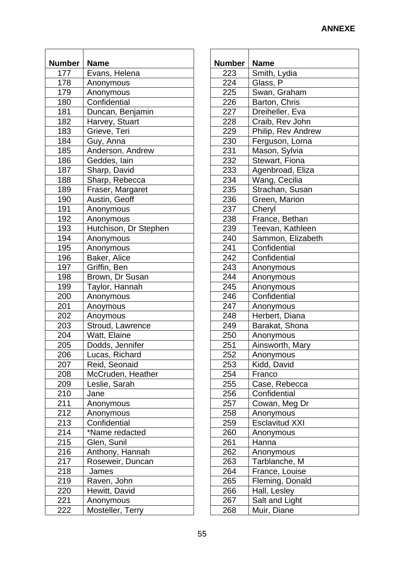| <b>Number</b> | <b>Name</b>           |
|---------------|-----------------------|
| 177           | Evans, Helena         |
| 178           | Anonymous             |
| 179           | Anonymous             |
| 180           | Confidential          |
|               |                       |
| 181           | Duncan, Benjamin      |
| 182           | Harvey, Stuart        |
| 183           | Grieve, Teri          |
| 184           | Guy, Anna             |
| 185           | Anderson, Andrew      |
| 186           | Geddes, Iain          |
| 187           | Sharp, David          |
| 188           | Sharp, Rebecca        |
| 189           | Fraser, Margaret      |
| 190           | Austin, Geoff         |
| 191           | Anonymous             |
| 192           | Anonymous             |
| 193           | Hutchison, Dr Stephen |
| 194           | Anonymous             |
| 195           | Anonymous             |
| 196           | Baker, Alice          |
| 197           | Griffin, Ben          |
| 198           | Brown, Dr Susan       |
| 199           | Taylor, Hannah        |
| 200           | Anonymous             |
| 201           | Anoymous              |
| 202           | Anoymous              |
| 203           | Stroud, Lawrence      |
| 204           | Watt, Elaine          |
| 205           | Dodds, Jennifer       |
| 206           | Lucas, Richard        |
| 207           | Reid, Seonaid         |
| 208           | McCruden, Heather     |
| 209           | Leslie, Sarah         |
| 210           | Jane                  |
| 211           | Anonymous             |
| 212           | Anonymous             |
| 213           | Confidential          |
| 214           | *Name redacted        |
| 215           | Glen, Sunil           |
| 216           | Anthony, Hannah       |
| 217           | Roseweir, Duncan      |
| 218           |                       |
|               | James                 |
| 219           | Raven, John           |
| 220           | Hewitt, David         |
| 221           | Anonymous             |
| 222           | Mosteller, Terry      |

| Number     | <b>Name</b>                   |
|------------|-------------------------------|
| 223        | Smith, Lydia                  |
| 224        | Glass, P                      |
| 225        | Swan, Graham                  |
| 226        | Barton, Chris                 |
| 227        | Dreiheller, Eva               |
| 228        | Craib, Rev John               |
| 229        | Philip, Rev Andrew            |
| 230        | Ferguson, Lorna               |
| 231        | Mason, Sylvia                 |
| 232        | Stewart, Fiona                |
| 233        | Agenbroad, Eliza              |
| 234        | Wang, Cecilia                 |
| 235        | Strachan, Susan               |
| 236        | Green, Marion                 |
| 237        | Cheryl                        |
| 238        | France, Bethan                |
| 239        | Teevan, Kathleen              |
| 240        | Sammon, Elizabeth             |
| 241        | Confidential                  |
| 242        | Confidential                  |
| 243        | Anonymous                     |
| 244        | Anonymous                     |
| 245        | Anonymous                     |
| 246        | Confidential                  |
| 247        | Anonymous                     |
| 248        | Herbert, Diana                |
| 249        | Barakat, Shona                |
| 250        | Anonymous                     |
| 251        | Ainsworth, Mary               |
| 252        | Anonymous                     |
| 253<br>254 | Kidd, David<br>Franco         |
| 255        |                               |
| 256        | Case, Rebecca<br>Confidential |
| 257        | Cowan, Meg Dr                 |
| 258        | Anonymous                     |
| 259        | <b>Esclavitud XXI</b>         |
| 260        | Anonymous                     |
| 261        | Hanna                         |
| 262        | Anonymous                     |
| 263        | Tarblanche, M                 |
| 264        | France, Louise                |
| 265        | Fleming, Donald               |
| 266        | Hall, Lesley                  |
| 267        | Salt and Light                |
| 268        | Muir, Diane                   |
|            |                               |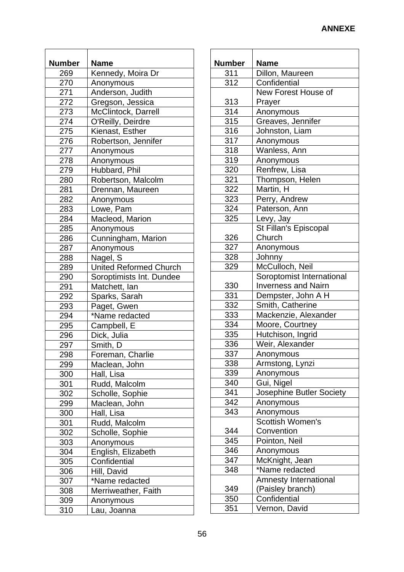| <b>Number</b> | <b>Name</b>                   |
|---------------|-------------------------------|
| 269           | Kennedy, Moira Dr             |
| 270           | Anonymous                     |
|               |                               |
| 271           | Anderson, Judith              |
| 272           | Gregson, Jessica              |
| 273           | McClintock, Darrell           |
| 274           | O'Reilly, Deirdre             |
| 275           | Kienast, Esther               |
| 276           | Robertson, Jennifer           |
| 277           | Anonymous                     |
| 278           | Anonymous                     |
| 279           | Hubbard, Phil                 |
| 280           | Robertson, Malcolm            |
| 281           | Drennan, Maureen              |
| 282           | Anonymous                     |
| 283           | Lowe, Pam                     |
| 284           | Macleod, Marion               |
| 285           | Anonymous                     |
| 286           | Cunningham, Marion            |
| 287           | Anonymous                     |
| 288           | Nagel, S                      |
| 289           | <b>United Reformed Church</b> |
| 290           | Soroptimists Int. Dundee      |
| 291           | Matchett, lan                 |
| 292           | Sparks, Sarah                 |
| 293           | Paget, Gwen                   |
| 294           | *Name redacted                |
|               |                               |
| 295<br>296    | Campbell, E                   |
|               | Dick, Julia                   |
| 297           | Smith, D                      |
| 298           | Foreman, Charlie              |
| 299           | Maclean, John                 |
| 300           | Hall, Lisa                    |
| 301           | Rudd, Malcolm                 |
| 302           | Scholle, Sophie               |
| 299           | Maclean, John                 |
| 300           | Hall, Lisa                    |
| 301           | Rudd, Malcolm                 |
| 302           | Scholle, Sophie               |
| 303           | Anonymous                     |
| 304           | English, Elizabeth            |
| 305           | Confidential                  |
| 306           | Hill, David                   |
| 307           | *Name redacted                |
| 308           | Merriweather, Faith           |
| 309           | Anonymous                     |
| 310           | Lau, Joanna                   |

| <b>Number</b>     | Name                       |
|-------------------|----------------------------|
| 311               | Dillon, Maureen            |
| $\overline{312}$  | Confidential               |
|                   | New Forest House of        |
|                   |                            |
| <u>313</u><br>314 | Prayer                     |
|                   | Anonymous                  |
| 315               | Greaves, Jennifer          |
| 316               | Johnston, Liam             |
| 317               | Anonymous                  |
| 318               | Wanless, Ann               |
| $\overline{319}$  | Anonymous                  |
| 320               | Renfrew, Lisa              |
| 321               | Thompson, Helen            |
| 322               | Martin, H                  |
| 323               | Perry, Andrew              |
| 324               | Paterson, Ann              |
| 325               | Levy, Jay                  |
|                   | St Fillan's Episcopal      |
| 326               | Church                     |
| 327               | Anonymous                  |
| 328               | Johnny                     |
| 329               | McCulloch, Neil            |
|                   | Soroptomist International  |
| 330               | <b>Inverness and Nairn</b> |
| 331               | Dempster, John A H         |
| 332               | Smith, Catherine           |
| 333               | Mackenzie, Alexander       |
| 334               | Moore, Courtney            |
| 335               | Hutchison, Ingrid          |
| 336               | Weir, Alexander            |
| 337               | Anonymous                  |
| 338               | Armstong, Lynzi            |
| 339               | Anonymous                  |
| 340               | Gui, Nigel                 |
| 341               | Josephine Butler Society   |
| 342               | Anonymous                  |
| 343               | Anonymous                  |
|                   | Scottish Women's           |
| 344               | Convention                 |
| 345               | Pointon, Neil              |
| 346               | Anonymous                  |
| 347               | McKnight, Jean             |
| 348               | *Name redacted             |
|                   | Amnesty International      |
| 349               | (Paisley branch)           |
| 350               | Confidential               |
| 351               | Vernon, David              |
|                   |                            |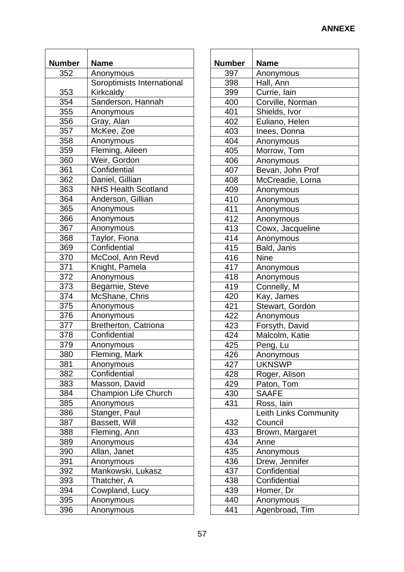| <b>Number</b> | <b>Name</b>                             |
|---------------|-----------------------------------------|
| 352           |                                         |
|               | Anonymous<br>Soroptimists International |
|               |                                         |
| 353           | Kirkcaldy                               |
| 354           | Sanderson, Hannah                       |
| 355           | Anonymous                               |
| 356           | Gray, Alan                              |
| 357           | McKee, Zoe                              |
| 358           | Anonymous                               |
| 359           | Fleming, Aileen                         |
| 360           | Weir, Gordon                            |
| 361           | Confidential                            |
| 362           | Daniel, Gillian                         |
| 363           | <b>NHS Health Scotland</b>              |
| 364           | Anderson, Gillian                       |
| 365           | Anonymous                               |
| 366           | Anonymous                               |
| 367           | Anonymous                               |
| 368           | Taylor, Fiona                           |
| 369           | Confidential                            |
| 370           | McCool, Ann Revd                        |
| 371           | Knight, Pamela                          |
| 372           | Anonymous                               |
| 373           | Begarnie, Steve                         |
| 374           | McShane, Chris                          |
| 375           | Anonymous                               |
| 376           | Anonymous                               |
| 377           | Bretherton, Catriona                    |
|               | Confidential                            |
| 378           |                                         |
| 379           | Anonymous                               |
| 380           | Fleming, Mark                           |
| 381           | Anonymous                               |
| 382           | Confidential                            |
| 383           | Masson, David                           |
| 384           | <b>Champion Life Church</b>             |
| 385           | Anonymous                               |
| 386           | Stanger, Paul                           |
| 387           | Bassett, Will                           |
| 388           | Fleming, Ann                            |
| 389           | Anonymous                               |
| 390           | Allan, Janet                            |
| 391           | Anonymous                               |
| 392           | Mankowski, Lukasz                       |
| 393           | Thatcher, A                             |
| 394           | Cowpland, Lucy                          |
| 395           | Anonymous                               |
| 396           | Anonymous                               |

| <b>Number</b> | Name                  |
|---------------|-----------------------|
| 397           | Anonymous             |
| 398           | Hall, Ann             |
| 399           | Currie, lain          |
| 400           | Corville, Norman      |
|               |                       |
| 401           | Shields, Ivor         |
| 402           | Euliano, Helen        |
| 403           | Inees, Donna          |
| 404           | Anonymous             |
| 405           | Morrow, Tom           |
| 406           | Anonymous             |
| 407           | Bevan, John Prof      |
| 408           | McCreadie, Lorna      |
| 409           | Anonymous             |
| 410           | Anonymous             |
| 411           | Anonymous             |
| 412           | Anonymous             |
| 413           | Cowx, Jacqueline      |
| 414           | Anonymous             |
| 415           | Bald, Janis           |
| 416           | <b>Nine</b>           |
| 417           | Anonymous             |
| 418           | Anonymous             |
| 419           | Connelly, M           |
| 420           | Kay, James            |
| 421           | Stewart, Gordon       |
| 422           | Anonymous             |
| 423           | Forsyth, David        |
| 424           | Malcolm, Katie        |
| 425           | Peng, Lu              |
| 426           | Anonymous             |
| 427           | <b>UKNSWP</b>         |
| 428           | Roger, Alison         |
| 429           | Paton, Tom            |
| 430           | <b>SAAFE</b>          |
| 431           | Ross, lain            |
|               | Leith Links Community |
| 432           | Council               |
| 433           | Brown, Margaret       |
| 434           | Anne                  |
| 435           | Anonymous             |
| 436           | Drew, Jennifer        |
| 437           | Confidential          |
| 438           | Confidential          |
|               |                       |
| 439           | Homer, Dr             |
| 440           | Anonymous             |
| 441           | Agenbroad, Tim        |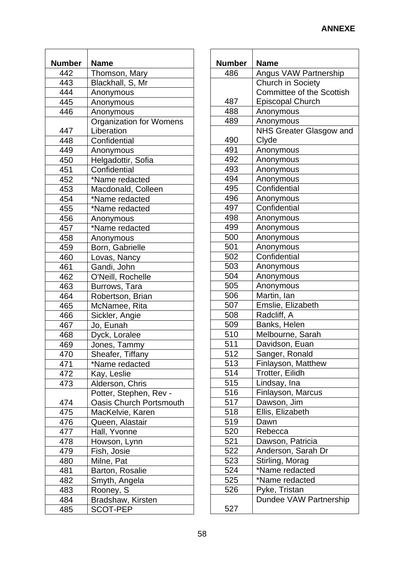| <b>Number</b> | <b>Name</b>                                       |
|---------------|---------------------------------------------------|
| 442           | Thomson, Mary                                     |
| 443           | Blackhall, S, Mr                                  |
| 444           | Anonymous                                         |
| 445           |                                                   |
|               | Anonymous                                         |
| 446           | Anonymous                                         |
| 447           | <b>Organization for Womens</b><br>Liberation      |
| 448           | Confidential                                      |
| 449           |                                                   |
| 450           | Anonymous                                         |
|               | Helgadottir, Sofia                                |
| 451           | Confidential                                      |
| 452           | *Name redacted                                    |
| 453           | Macdonald, Colleen                                |
| 454           | *Name redacted                                    |
| 455           | *Name redacted                                    |
| 456           | Anonymous                                         |
| 457           | *Name redacted                                    |
| 458           | Anonymous                                         |
| 459           | Born, Gabrielle                                   |
| 460           | Lovas, Nancy                                      |
| 461           | Gandi, John                                       |
| 462           | O'Neill, Rochelle                                 |
| 463           | Burrows, Tara                                     |
| 464           | Robertson, Brian                                  |
| 465           | McNamee, Rita                                     |
| 466           | Sickler, Angie                                    |
| 467           | Jo, Eunah                                         |
| 468           | Dyck, Loralee                                     |
| 469           | Jones, Tammy                                      |
| 470           | Sheafer, Tiffany                                  |
| 471           | *Name redacted                                    |
| 472           | Kay, Leslie                                       |
| 473           | Alderson, Chris                                   |
|               |                                                   |
|               | Potter, Stephen, Rev -<br>Oasis Church Portsmouth |
| 474           |                                                   |
| 475           | MacKelvie, Karen                                  |
| 476           | Queen, Alastair                                   |
| 477           | Hall, Yvonne                                      |
| 478           | Howson, Lynn                                      |
| 479           | Fish, Josie                                       |
| 480           | Milne, Pat                                        |
| 481           | Barton, Rosalie                                   |
| 482           | Smyth, Angela                                     |
| 483           | Rooney, S                                         |
| 484           | Bradshaw, Kirsten                                 |
| 485           | <b>SCOT-PEP</b>                                   |

| <b>Number</b> | Name                             |
|---------------|----------------------------------|
| 486           | Angus VAW Partnership            |
|               | Church in Society                |
|               | <b>Committee of the Scottish</b> |
| 487           | <b>Episcopal Church</b>          |
| 488           | Anonymous                        |
| 489           | Anonymous                        |
|               | <b>NHS Greater Glasgow and</b>   |
| 490           | Clyde                            |
| 491           | Anonymous                        |
| 492           | Anonymous                        |
| 493           | Anonymous                        |
| 494           | Anonymous                        |
| 495           | Confidential                     |
| 496           | Anonymous                        |
| 497           | Confidential                     |
| 498           | Anonymous                        |
| 499           | Anonymous                        |
| 500           | Anonymous                        |
| 501           | Anonymous                        |
| 502           | Confidential                     |
| 503           | Anonymous                        |
| 504           | Anonymous                        |
| 505           | Anonymous                        |
| 506           | Martin, lan                      |
| 507           | Emslie, Elizabeth                |
| 508           | Radcliff, A                      |
| 509           | Banks, Helen                     |
| 510           | Melbourne, Sarah                 |
| 511           | Davidson, Euan                   |
| 512           | Sanger, Ronald                   |
| 513           | Finlayson, Matthew               |
| 514           | Trotter, Eilidh                  |
| 515           | Lindsay, Ina                     |
| 516           | Finlayson, Marcus                |
| 517           | Dawson, Jim                      |
| 518           | Ellis, Elizabeth                 |
| 519           | Dawn                             |
| 520           | Rebecca                          |
| 521           | Dawson, Patricia                 |
| 522           | Anderson, Sarah Dr               |
| 523           | Stirling, Morag                  |
| 524           | *Name redacted                   |
| 525           | *Name redacted                   |
| 526           | Pyke, Tristan                    |
|               | Dundee VAW Partnership           |
| 527           |                                  |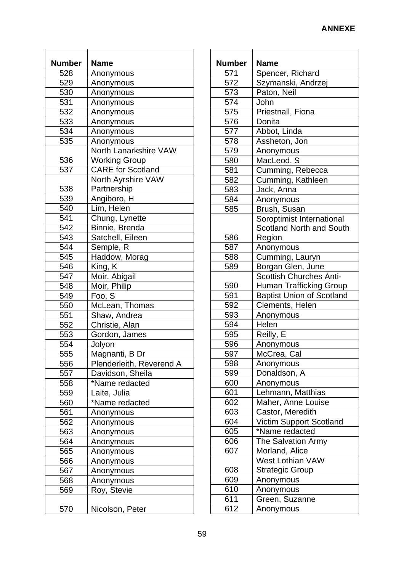| <b>Number</b> | <b>Name</b>                               |
|---------------|-------------------------------------------|
| 528           | Anonymous                                 |
| 529           | Anonymous                                 |
| 530           | Anonymous                                 |
| 531           | Anonymous                                 |
| 532           | Anonymous                                 |
| 533           | Anonymous                                 |
| 534           | Anonymous                                 |
| 535           | Anonymous                                 |
|               | North Lanarkshire VAW                     |
|               |                                           |
| 536<br>537    | Working Group<br><b>CARE</b> for Scotland |
|               |                                           |
|               | North Ayrshire VAW                        |
| 538           | Partnership                               |
| 539           | Angiboro, H                               |
| 540           | Lim, Helen                                |
| 541           | Chung, Lynette                            |
| 542           | Binnie, Brenda                            |
| 543           | Satchell, Eileen                          |
| 544           | Semple, R                                 |
| 545           | Haddow, Morag                             |
| 546           | King, K                                   |
| 547           | Moir, Abigail                             |
| 548           | Moir, Philip                              |
| 549           | Foo, S                                    |
| 550           | McLean, Thomas                            |
| 551           | Shaw, Andrea                              |
| 552           | Christie, Alan                            |
| 553           | Gordon, James                             |
| 554           | Jolyon                                    |
| 555           | Magnanti, B Dr                            |
| 556           | Plenderleith, Reverend A                  |
| 557           | Davidson, Sheila                          |
| 558           | *Name redacted                            |
| 559           | Laite, Julia                              |
| 560           | *Name redacted                            |
| 561           | Anonymous                                 |
| 562           | Anonymous                                 |
| 563           | Anonymous                                 |
| 564           | Anonymous                                 |
| 565           | Anonymous                                 |
| 566           | Anonymous                                 |
| 567           | Anonymous                                 |
| 568           | Anonymous                                 |
| 569           | Roy, Stevie                               |
|               |                                           |
| 570           | Nicolson, Peter                           |

| <b>Number</b> | <b>Name</b>                      |
|---------------|----------------------------------|
| 571           | Spencer, Richard                 |
| 572           | Szymanski, Andrzej               |
| 573           | Paton, Neil                      |
| 574           | John                             |
| 575           | Priestnall, Fiona                |
| 576           | Donita                           |
| 577           | Abbot, Linda                     |
| 578           | Assheton, Jon                    |
| 579           | Anonymous                        |
| 580           | MacLeod, S                       |
| 581           | Cumming, Rebecca                 |
| 582           | Cumming, Kathleen                |
| 583           | Jack, Anna                       |
| 584           | Anonymous                        |
| 585           | Brush, Susan                     |
|               | Soroptimist International        |
|               | <b>Scotland North and South</b>  |
| 586           | Region                           |
| 587           | Anonymous                        |
| 588           | Cumming, Lauryn                  |
| 589           | Borgan Glen, June                |
|               | Scottish Churches Anti-          |
| 590           | <b>Human Trafficking Group</b>   |
| 591           | <b>Baptist Union of Scotland</b> |
| 592           | Clements, Helen                  |
| 593           | Anonymous                        |
| 594           | Helen                            |
| 595           | Reilly, E                        |
| 596           | Anonymous                        |
| 597           | McCrea, Cal                      |
| 598           | Anonymous                        |
| 599           | Donaldson, A                     |
| 600           | Anonymous                        |
| 601           | Lehmann, Matthias                |
| 602           | Maher, Anne Louise               |
| 603           | Castor, Meredith                 |
| 604           | <b>Victim Support Scotland</b>   |
| 605           | *Name redacted                   |
| 606           | The Salvation Army               |
| 607           | Morland, Alice                   |
|               | <b>West Lothian VAW</b>          |
| 608           | <b>Strategic Group</b>           |
| 609           | Anonymous                        |
| 610           | Anonymous                        |
| 611           | Green, Suzanne                   |
| 612           |                                  |
|               | Anonymous                        |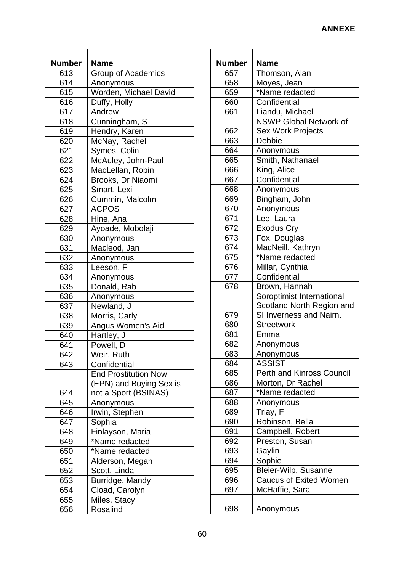| <b>Number</b> | <b>Name</b>                 |
|---------------|-----------------------------|
| 613           | Group of Academics          |
| 614           | Anonymous                   |
| 615           | Worden, Michael David       |
| 616           | Duffy, Holly                |
| 617           | Andrew                      |
| 618           | Cunningham, S               |
| 619           | Hendry, Karen               |
| 620           | McNay, Rachel               |
| 621           | Symes, Colin                |
| 622           | McAuley, John-Paul          |
| 623           | MacLellan, Robin            |
| 624           | Brooks, Dr Niaomi           |
| 625           | Smart, Lexi                 |
| 626           | Cummin, Malcolm             |
| 627           | <b>ACPOS</b>                |
| 628           | Hine, Ana                   |
| 629           | Ayoade, Mobolaji            |
| 630           | Anonymous                   |
| 631           | Macleod, Jan                |
| 632           | Anonymous                   |
| 633           | Leeson, F                   |
| 634           | Anonymous                   |
| 635           | Donald, Rab                 |
| 636           | Anonymous                   |
| 637           | Newland, J                  |
| 638           | Morris, Carly               |
| 639           | Angus Women's Aid           |
| 640           | Hartley, J                  |
| 641           |                             |
|               | Powell, D                   |
| 642           | Weir, Ruth                  |
| 643           | Confidential                |
|               | <b>End Prostitution Now</b> |
|               | (EPN) and Buying Sex is     |
| 644           | not a Sport (BSINAS)        |
| 645           | Anonymous                   |
| 646           | Irwin, Stephen              |
| 647           | Sophia                      |
| 648           | Finlayson, Maria            |
| 649           | *Name redacted              |
| 650           | *Name redacted              |
| 651           | Alderson, Megan             |
| 652           | Scott, Linda                |
| 653           | Burridge, Mandy             |
| 654           | Cload, Carolyn              |
| 655           | Miles, Stacy                |
| 656           | Rosalind                    |

| Number | <b>Name</b>                                      |
|--------|--------------------------------------------------|
| 657    | Thomson, Alan                                    |
| 658    | Moyes, Jean                                      |
| 659    | *Name redacted                                   |
| 660    | Confidential                                     |
| 661    |                                                  |
|        | Liandu, Michael<br><b>NSWP Global Network of</b> |
|        |                                                  |
| 662    | <b>Sex Work Projects</b>                         |
| 663    | Debbie                                           |
| 664    | Anonymous                                        |
| 665    | Smith, Nathanael                                 |
| 666    | King, Alice                                      |
| 667    | Confidential                                     |
| 668    | Anonymous                                        |
| 669    | Bingham, John                                    |
| 670    | Anonymous                                        |
| 671    | Lee, Laura                                       |
| 672    | <b>Exodus Cry</b>                                |
| 673    | Fox, Douglas                                     |
| 674    | MacNeill, Kathryn                                |
| 675    | *Name redacted                                   |
| 676    | Millar, Cynthia                                  |
| 677    | Confidential                                     |
| 678    | Brown, Hannah                                    |
|        | Soroptimist International                        |
|        | Scotland North Region and                        |
| 679    | SI Inverness and Nairn.                          |
| 680    | <b>Streetwork</b>                                |
| 681    | Emma                                             |
| 682    | Anonymous                                        |
| 683    | Anonymous                                        |
| 684    | <b>ASSIST</b>                                    |
| 685    | <b>Perth and Kinross Council</b>                 |
| 686    | Morton, Dr Rachel                                |
| 687    | *Name redacted                                   |
| 688    | Anonymous                                        |
| 689    | Triay, F                                         |
| 690    | Robinson, Bella                                  |
| 691    | Campbell, Robert                                 |
| 692    | Preston, Susan                                   |
| 693    | Gaylin                                           |
| 694    | Sophie                                           |
| 695    | Bleier-Wilp, Susanne                             |
| 696    | <b>Caucus of Exited Women</b>                    |
| 697    | McHaffie, Sara                                   |
|        |                                                  |
| 698    | Anonymous                                        |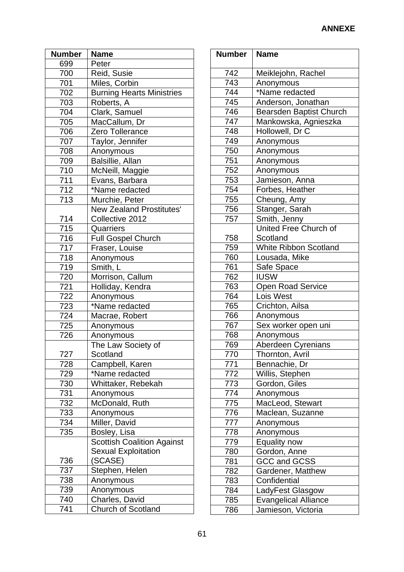| <b>Number</b> | <b>Name</b>                       |
|---------------|-----------------------------------|
| 699           | Peter                             |
| 700           | Reid, Susie                       |
| 701           | Miles, Corbin                     |
| 702           | <b>Burning Hearts Ministries</b>  |
| 703           | Roberts, A                        |
| 704           | Clark, Samuel                     |
| 705           | MacCallum, Dr                     |
| 706           | Zero Tollerance                   |
| 707           | Taylor, Jennifer                  |
| 708           | Anonymous                         |
| 709           | Balsillie, Allan                  |
| 710           | McNeill, Maggie                   |
| 711           | Evans, Barbara                    |
| 712           | *Name redacted                    |
| 713           | Murchie, Peter                    |
|               | <b>New Zealand Prostitutes'</b>   |
| 714           | Collective 2012                   |
| 715           | Quarriers                         |
| 716           | <b>Full Gospel Church</b>         |
| 717           | Fraser, Louise                    |
| 718           | Anonymous                         |
| 719           | Smith, L                          |
| 720           | Morrison, Callum                  |
| 721           | Holliday, Kendra                  |
| 722           | Anonymous                         |
| 723           | *Name redacted                    |
| 724           | Macrae, Robert                    |
| 725           | Anonymous                         |
| 726           | Anonymous                         |
|               | The Law Society of                |
| 727           | Scotland                          |
| 728           | Campbell, Karen                   |
| 729           | *Name redacted                    |
| 730           | Whittaker, Rebekah                |
| 731           | Anonymous                         |
| 732           | McDonald, Ruth                    |
| 733           | Anonymous                         |
| 734           | Miller, David                     |
| 735           | Bosley, Lisa                      |
|               | <b>Scottish Coalition Against</b> |
|               | <b>Sexual Exploitation</b>        |
| 736           | (SCASE)                           |
| 737           | Stephen, Helen                    |
| 738           | Anonymous                         |
| 739           | Anonymous                         |
| 740           | Charles, David                    |
| 741           | <b>Church of Scotland</b>         |

| <b>Number</b>   | <b>Name</b>                  |
|-----------------|------------------------------|
| 742             | Meiklejohn, Rachel           |
| 743             | Anonymous                    |
| 744             | *Name redacted               |
| 745             | Anderson, Jonathan           |
| 746             | Bearsden Baptist Church      |
| 747             | Mankowska, Agnieszka         |
| 748             | Hollowell, Dr C              |
| 749             | Anonymous                    |
| 750             | Anonymous                    |
| 751             | Anonymous                    |
| 752             | Anonymous                    |
| 753             | Jamieson, Anna               |
| 754             | Forbes, Heather              |
| 755             | Cheung, Amy                  |
| 756             | Stanger, Sarah               |
| 757             | Smith, Jenny                 |
|                 | United Free Church of        |
| 758             | Scotland                     |
| 759             | <b>White Ribbon Scotland</b> |
| 760             | Lousada, Mike                |
| 761             | Safe Space                   |
| 762             | <b>IUSW</b>                  |
| 763             | <b>Open Road Service</b>     |
| 764             | Lois West                    |
| 765             | Crichton, Ailsa              |
| 766             | Anonymous                    |
| 767             | Sex worker open uni          |
| 768             | Anonymous                    |
| 769             | Aberdeen Cyrenians           |
| 770             | Thornton, Avril              |
| 771             | Bennachie, Dr                |
| 772             | Willis, Stephen              |
| 773             | Gordon, Giles                |
| 774             | Anonymous                    |
| 775             | MacLeod, Stewart             |
| $\frac{776}{2}$ | Maclean, Suzanne             |
| 777             | Anonymous                    |
| 778             | Anonymous                    |
| 779             | Equality now                 |
| 780             | Gordon, Anne                 |
| 781             | <b>GCC and GCSS</b>          |
| 782             | Gardener, Matthew            |
| 783             | Confidential                 |
| 784             | LadyFest Glasgow             |
| 785             | <b>Evangelical Alliance</b>  |
| 786             | Jamieson, Victoria           |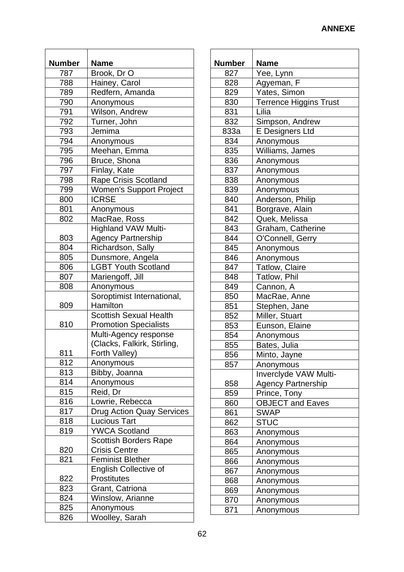| <b>Number</b> | <b>Name</b>                      |
|---------------|----------------------------------|
| 787           | Brook, Dr O                      |
| 788           | Hainey, Carol                    |
| 789           | Redfern, Amanda                  |
| 790           | Anonymous                        |
| 791           | Wilson, Andrew                   |
| 792           |                                  |
|               | Turner, John<br>Jemima           |
| 793           |                                  |
| 794           | Anonymous                        |
| 795           | Meehan, Emma                     |
| 796           | Bruce, Shona                     |
| 797           | Finlay, Kate                     |
| 798           | <b>Rape Crisis Scotland</b>      |
| 799           | <b>Women's Support Project</b>   |
| 800           | <b>ICRSE</b>                     |
| 801           | Anonymous                        |
| 802           | MacRae, Ross                     |
|               | <b>Highland VAW Multi-</b>       |
| 803           | <b>Agency Partnership</b>        |
| 804           | Richardson, Sally                |
| 805           | Dunsmore, Angela                 |
| 806           | <b>LGBT Youth Scotland</b>       |
| 807           | Mariengoff, Jill                 |
| 808           | Anonymous                        |
|               | Soroptimist International,       |
| 809           | Hamilton                         |
|               | <b>Scottish Sexual Health</b>    |
| 810           | <b>Promotion Specialists</b>     |
|               | Multi-Agency response            |
|               | (Clacks, Falkirk, Stirling,      |
| 811           | Forth Valley)                    |
| 812           | Anonymous                        |
| 813           | Bibby, Joanna                    |
| 814           | Anonymous                        |
| 815           | Reid, Dr                         |
| 816           |                                  |
|               | Lowrie, Rebecca                  |
| 817           | <b>Drug Action Quay Services</b> |
| 818           | <b>Lucious Tart</b>              |
| 819           | <b>YWCA Scotland</b>             |
|               | <b>Scottish Borders Rape</b>     |
| 820           | <b>Crisis Centre</b>             |
| 821           | <b>Feminist Blether</b>          |
|               | <b>English Collective of</b>     |
| 822           | <b>Prostitutes</b>               |
| 823           | Grant, Catriona                  |
| 824           | Winslow, Arianne                 |
| 825           | Anonymous                        |
| 826           | Woolley, Sarah                   |

| Number | <b>Name</b>                   |
|--------|-------------------------------|
| 827    |                               |
| 828    | Yee, Lynn                     |
|        | Agyeman, F                    |
| 829    | Yates, Simon                  |
| 830    | <b>Terrence Higgins Trust</b> |
| 831    | Lilia                         |
| 832    | Simpson, Andrew               |
| 833a   | E Designers Ltd               |
| 834    | Anonymous                     |
| 835    | Williams, James               |
| 836    | Anonymous                     |
| 837    | Anonymous                     |
| 838    | Anonymous                     |
| 839    | Anonymous                     |
| 840    | Anderson, Philip              |
| 841    | Borgrave, Alain               |
| 842    | Quek, Melissa                 |
| 843    | Graham, Catherine             |
| 844    | O'Connell, Gerry              |
| 845    | Anonymous                     |
| 846    | Anonymous                     |
| 847    | Tatlow, Claire                |
| 848    | Tatlow, Phil                  |
| 849    | Cannon, A                     |
| 850    | MacRae, Anne                  |
| 851    | Stephen, Jane                 |
| 852    | Miller, Stuart                |
| 853    | Eunson, Elaine                |
| 854    | Anonymous                     |
| 855    | Bates, Julia                  |
| 856    | Minto, Jayne                  |
| 857    | Anonymous                     |
|        | Inverclyde VAW Multi-         |
| 858    | <b>Agency Partnership</b>     |
| 859    | Prince, Tony                  |
| 860    | OBJECT and Eaves              |
| 861    | <b>SWAP</b>                   |
| 862    | <b>STUC</b>                   |
| 863    | Anonymous                     |
| 864    | Anonymous                     |
| 865    | Anonymous                     |
| 866    | Anonymous                     |
| 867    | Anonymous                     |
| 868    | Anonymous                     |
| 869    | Anonymous                     |
| 870    | Anonymous                     |
| 871    |                               |
|        | Anonymous                     |